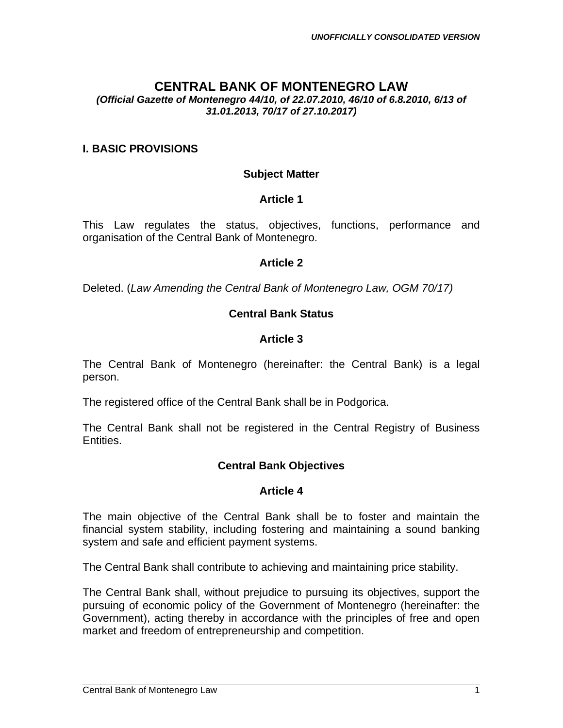# **CENTRAL BANK OF MONTENEGRO LAW**

#### *(Official Gazette of Montenegro 44/10, of 22.07.2010, 46/10 of 6.8.2010, 6/13 of 31.01.2013, 70/17 of 27.10.2017)*

#### **I. BASIC PROVISIONS**

#### **Subject Matter**

#### **Article 1**

This Law regulates the status, objectives, functions, performance and organisation of the Central Bank of Montenegro.

#### **Article 2**

Deleted. (*Law Amending the Central Bank of Montenegro Law, OGM 70/17)*

#### **Central Bank Status**

#### **Article 3**

The Central Bank of Montenegro (hereinafter: the Central Bank) is a legal person.

The registered office of the Central Bank shall be in Podgorica.

The Central Bank shall not be registered in the Central Registry of Business Entities.

#### **Central Bank Objectives**

#### **Article 4**

The main objective of the Central Bank shall be to foster and maintain the financial system stability, including fostering and maintaining a sound banking system and safe and efficient payment systems.

The Central Bank shall contribute to achieving and maintaining price stability.

The Central Bank shall, without prejudice to pursuing its objectives, support the pursuing of economic policy of the Government of Montenegro (hereinafter: the Government), acting thereby in accordance with the principles of free and open market and freedom of entrepreneurship and competition.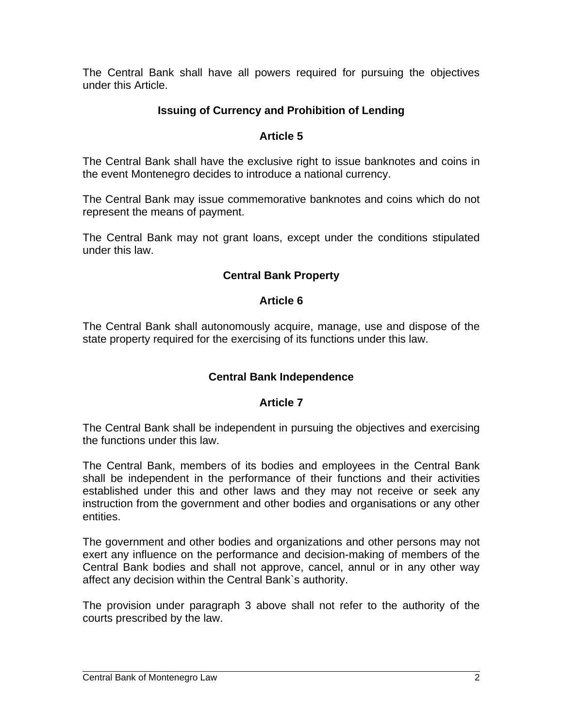The Central Bank shall have all powers required for pursuing the objectives under this Article.

## **Issuing of Currency and Prohibition of Lending**

### **Article 5**

The Central Bank shall have the exclusive right to issue banknotes and coins in the event Montenegro decides to introduce a national currency.

The Central Bank may issue commemorative banknotes and coins which do not represent the means of payment.

The Central Bank may not grant loans, except under the conditions stipulated under this law.

## **Central Bank Property**

#### **Article 6**

The Central Bank shall autonomously acquire, manage, use and dispose of the state property required for the exercising of its functions under this law.

#### **Central Bank Independence**

#### **Article 7**

The Central Bank shall be independent in pursuing the objectives and exercising the functions under this law.

The Central Bank, members of its bodies and employees in the Central Bank shall be independent in the performance of their functions and their activities established under this and other laws and they may not receive or seek any instruction from the government and other bodies and organisations or any other entities.

The government and other bodies and organizations and other persons may not exert any influence on the performance and decision-making of members of the Central Bank bodies and shall not approve, cancel, annul or in any other way affect any decision within the Central Bank`s authority.

The provision under paragraph 3 above shall not refer to the authority of the courts prescribed by the law.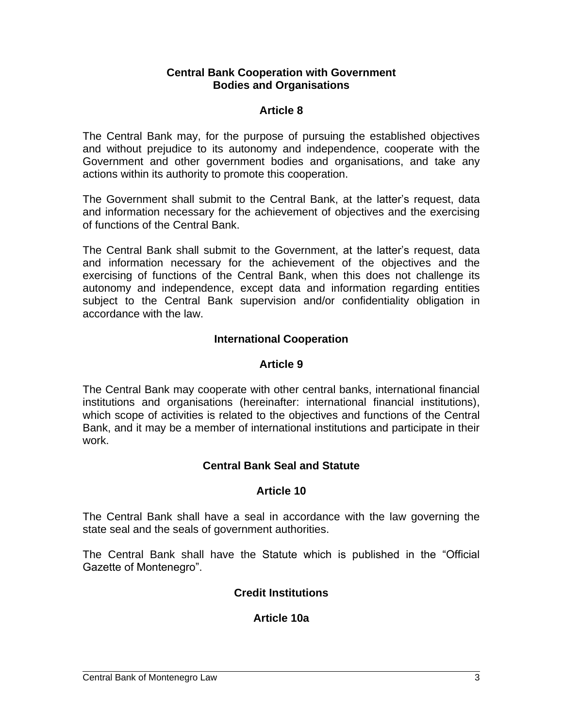#### **Central Bank Cooperation with Government Bodies and Organisations**

### **Article 8**

The Central Bank may, for the purpose of pursuing the established objectives and without prejudice to its autonomy and independence, cooperate with the Government and other government bodies and organisations, and take any actions within its authority to promote this cooperation.

The Government shall submit to the Central Bank, at the latter's request, data and information necessary for the achievement of objectives and the exercising of functions of the Central Bank.

The Central Bank shall submit to the Government, at the latter's request, data and information necessary for the achievement of the objectives and the exercising of functions of the Central Bank, when this does not challenge its autonomy and independence, except data and information regarding entities subject to the Central Bank supervision and/or confidentiality obligation in accordance with the law.

#### **International Cooperation**

### **Article 9**

The Central Bank may cooperate with other central banks, international financial institutions and organisations (hereinafter: international financial institutions), which scope of activities is related to the objectives and functions of the Central Bank, and it may be a member of international institutions and participate in their work.

## **Central Bank Seal and Statute**

#### **Article 10**

The Central Bank shall have a seal in accordance with the law governing the state seal and the seals of government authorities.

The Central Bank shall have the Statute which is published in the "Official Gazette of Montenegro".

## **Credit Institutions**

## **Article 10a**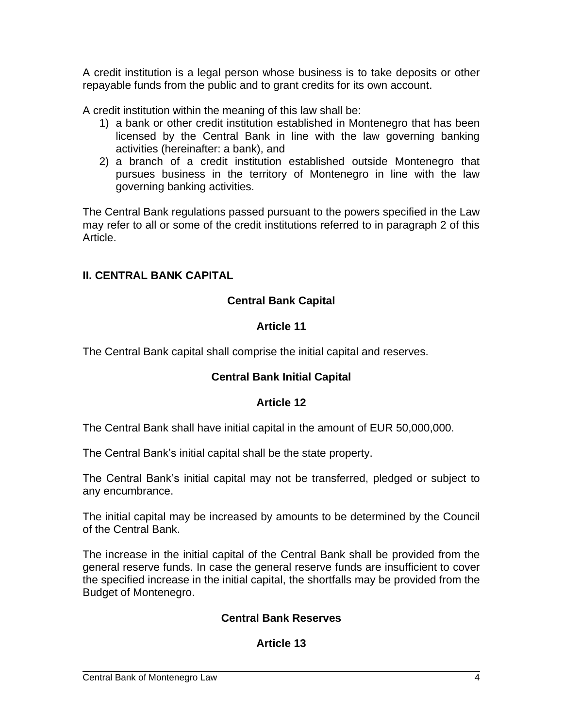A credit institution is a legal person whose business is to take deposits or other repayable funds from the public and to grant credits for its own account.

A credit institution within the meaning of this law shall be:

- 1) a bank or other credit institution established in Montenegro that has been licensed by the Central Bank in line with the law governing banking activities (hereinafter: a bank), and
- 2) a branch of a credit institution established outside Montenegro that pursues business in the territory of Montenegro in line with the law governing banking activities.

The Central Bank regulations passed pursuant to the powers specified in the Law may refer to all or some of the credit institutions referred to in paragraph 2 of this Article.

## **II. CENTRAL BANK CAPITAL**

## **Central Bank Capital**

### **Article 11**

The Central Bank capital shall comprise the initial capital and reserves.

## **Central Bank Initial Capital**

## **Article 12**

The Central Bank shall have initial capital in the amount of EUR 50,000,000.

The Central Bank's initial capital shall be the state property.

The Central Bank's initial capital may not be transferred, pledged or subject to any encumbrance.

The initial capital may be increased by amounts to be determined by the Council of the Central Bank.

The increase in the initial capital of the Central Bank shall be provided from the general reserve funds. In case the general reserve funds are insufficient to cover the specified increase in the initial capital, the shortfalls may be provided from the Budget of Montenegro.

## **Central Bank Reserves**

## **Article 13**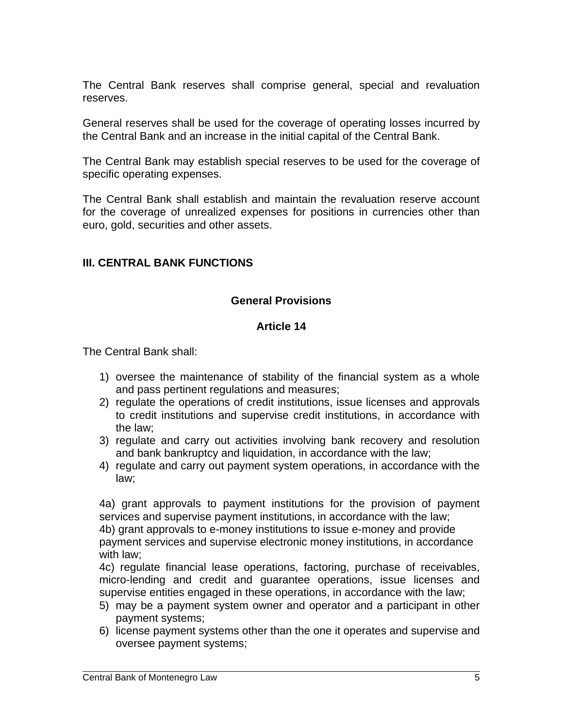The Central Bank reserves shall comprise general, special and revaluation reserves.

General reserves shall be used for the coverage of operating losses incurred by the Central Bank and an increase in the initial capital of the Central Bank.

The Central Bank may establish special reserves to be used for the coverage of specific operating expenses.

The Central Bank shall establish and maintain the revaluation reserve account for the coverage of unrealized expenses for positions in currencies other than euro, gold, securities and other assets.

### **III. CENTRAL BANK FUNCTIONS**

### **General Provisions**

#### **Article 14**

The Central Bank shall:

- 1) oversee the maintenance of stability of the financial system as a whole and pass pertinent regulations and measures;
- 2) regulate the operations of credit institutions, issue licenses and approvals to credit institutions and supervise credit institutions, in accordance with the law;
- 3) regulate and carry out activities involving bank recovery and resolution and bank bankruptcy and liquidation, in accordance with the law;
- 4) regulate and carry out payment system operations, in accordance with the law;

4a) grant approvals to payment institutions for the provision of payment services and supervise payment institutions, in accordance with the law; 4b) grant approvals to e-money institutions to issue e-money and provide payment services and supervise electronic money institutions, in accordance with law;

4c) regulate financial lease operations, factoring, purchase of receivables, micro-lending and credit and guarantee operations, issue licenses and supervise entities engaged in these operations, in accordance with the law;

- 5) may be a payment system owner and operator and a participant in other payment systems;
- 6) license payment systems other than the one it operates and supervise and oversee payment systems;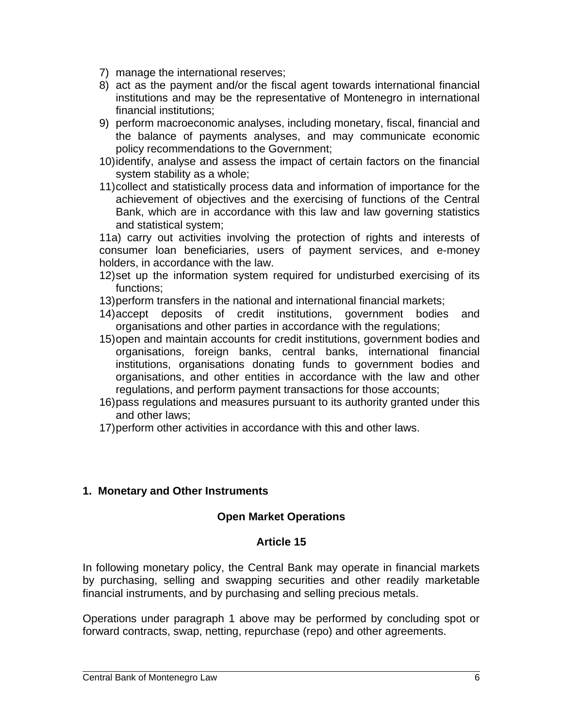- 7) manage the international reserves;
- 8) act as the payment and/or the fiscal agent towards international financial institutions and may be the representative of Montenegro in international financial institutions;
- 9) perform macroeconomic analyses, including monetary, fiscal, financial and the balance of payments analyses, and may communicate economic policy recommendations to the Government;
- 10)identify, analyse and assess the impact of certain factors on the financial system stability as a whole;
- 11)collect and statistically process data and information of importance for the achievement of objectives and the exercising of functions of the Central Bank, which are in accordance with this law and law governing statistics and statistical system;

11a) carry out activities involving the protection of rights and interests of consumer loan beneficiaries, users of payment services, and e-money holders, in accordance with the law.

- 12)set up the information system required for undisturbed exercising of its functions;
- 13)perform transfers in the national and international financial markets;
- 14)accept deposits of credit institutions, government bodies and organisations and other parties in accordance with the regulations;
- 15)open and maintain accounts for credit institutions, government bodies and organisations, foreign banks, central banks, international financial institutions, organisations donating funds to government bodies and organisations, and other entities in accordance with the law and other regulations, and perform payment transactions for those accounts;
- 16)pass regulations and measures pursuant to its authority granted under this and other laws;
- 17)perform other activities in accordance with this and other laws.

#### **1. Monetary and Other Instruments**

#### **Open Market Operations**

#### **Article 15**

In following monetary policy, the Central Bank may operate in financial markets by purchasing, selling and swapping securities and other readily marketable financial instruments, and by purchasing and selling precious metals.

Operations under paragraph 1 above may be performed by concluding spot or forward contracts, swap, netting, repurchase (repo) and other agreements.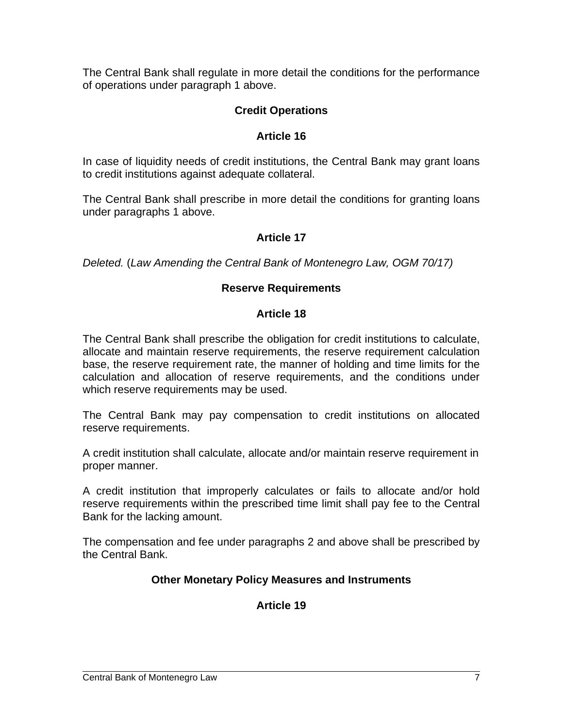The Central Bank shall regulate in more detail the conditions for the performance of operations under paragraph 1 above.

## **Credit Operations**

## **Article 16**

In case of liquidity needs of credit institutions, the Central Bank may grant loans to credit institutions against adequate collateral.

The Central Bank shall prescribe in more detail the conditions for granting loans under paragraphs 1 above.

## **Article 17**

*Deleted.* (*Law Amending the Central Bank of Montenegro Law, OGM 70/17)*

### **Reserve Requirements**

#### **Article 18**

The Central Bank shall prescribe the obligation for credit institutions to calculate, allocate and maintain reserve requirements, the reserve requirement calculation base, the reserve requirement rate, the manner of holding and time limits for the calculation and allocation of reserve requirements, and the conditions under which reserve requirements may be used.

The Central Bank may pay compensation to credit institutions on allocated reserve requirements.

A credit institution shall calculate, allocate and/or maintain reserve requirement in proper manner.

A credit institution that improperly calculates or fails to allocate and/or hold reserve requirements within the prescribed time limit shall pay fee to the Central Bank for the lacking amount.

The compensation and fee under paragraphs 2 and above shall be prescribed by the Central Bank.

## **Other Monetary Policy Measures and Instruments**

# **Article 19**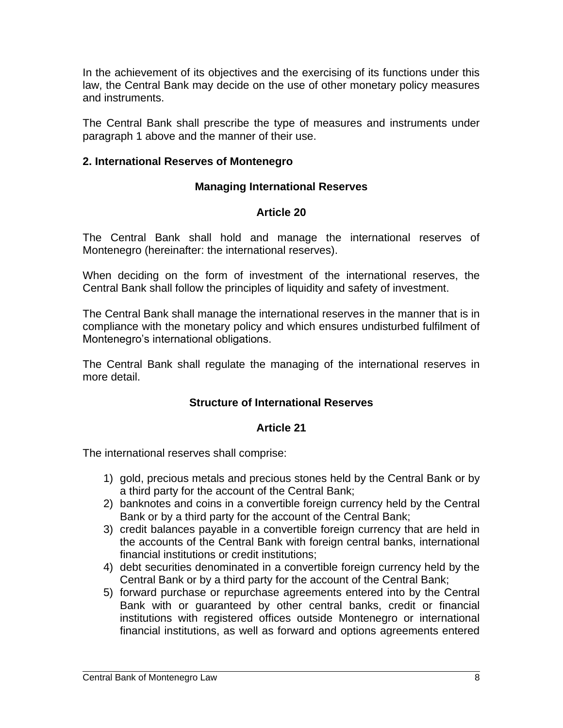In the achievement of its objectives and the exercising of its functions under this law, the Central Bank may decide on the use of other monetary policy measures and instruments.

The Central Bank shall prescribe the type of measures and instruments under paragraph 1 above and the manner of their use.

### **2. International Reserves of Montenegro**

### **Managing International Reserves**

### **Article 20**

The Central Bank shall hold and manage the international reserves of Montenegro (hereinafter: the international reserves).

When deciding on the form of investment of the international reserves, the Central Bank shall follow the principles of liquidity and safety of investment.

The Central Bank shall manage the international reserves in the manner that is in compliance with the monetary policy and which ensures undisturbed fulfilment of Montenegro's international obligations.

The Central Bank shall regulate the managing of the international reserves in more detail.

## **Structure of International Reserves**

#### **Article 21**

The international reserves shall comprise:

- 1) gold, precious metals and precious stones held by the Central Bank or by a third party for the account of the Central Bank;
- 2) banknotes and coins in a convertible foreign currency held by the Central Bank or by a third party for the account of the Central Bank;
- 3) credit balances payable in a convertible foreign currency that are held in the accounts of the Central Bank with foreign central banks, international financial institutions or credit institutions;
- 4) debt securities denominated in a convertible foreign currency held by the Central Bank or by a third party for the account of the Central Bank;
- 5) forward purchase or repurchase agreements entered into by the Central Bank with or guaranteed by other central banks, credit or financial institutions with registered offices outside Montenegro or international financial institutions, as well as forward and options agreements entered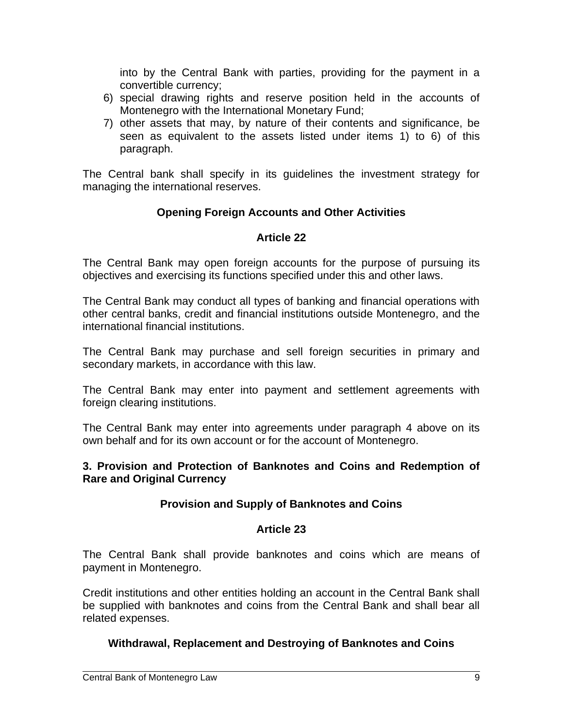into by the Central Bank with parties, providing for the payment in a convertible currency;

- 6) special drawing rights and reserve position held in the accounts of Montenegro with the International Monetary Fund;
- 7) other assets that may, by nature of their contents and significance, be seen as equivalent to the assets listed under items 1) to 6) of this paragraph.

The Central bank shall specify in its guidelines the investment strategy for managing the international reserves.

## **Opening Foreign Accounts and Other Activities**

## **Article 22**

The Central Bank may open foreign accounts for the purpose of pursuing its objectives and exercising its functions specified under this and other laws.

The Central Bank may conduct all types of banking and financial operations with other central banks, credit and financial institutions outside Montenegro, and the international financial institutions.

The Central Bank may purchase and sell foreign securities in primary and secondary markets, in accordance with this law.

The Central Bank may enter into payment and settlement agreements with foreign clearing institutions.

The Central Bank may enter into agreements under paragraph 4 above on its own behalf and for its own account or for the account of Montenegro.

#### **3. Provision and Protection of Banknotes and Coins and Redemption of Rare and Original Currency**

# **Provision and Supply of Banknotes and Coins**

## **Article 23**

The Central Bank shall provide banknotes and coins which are means of payment in Montenegro.

Credit institutions and other entities holding an account in the Central Bank shall be supplied with banknotes and coins from the Central Bank and shall bear all related expenses.

# **Withdrawal, Replacement and Destroying of Banknotes and Coins**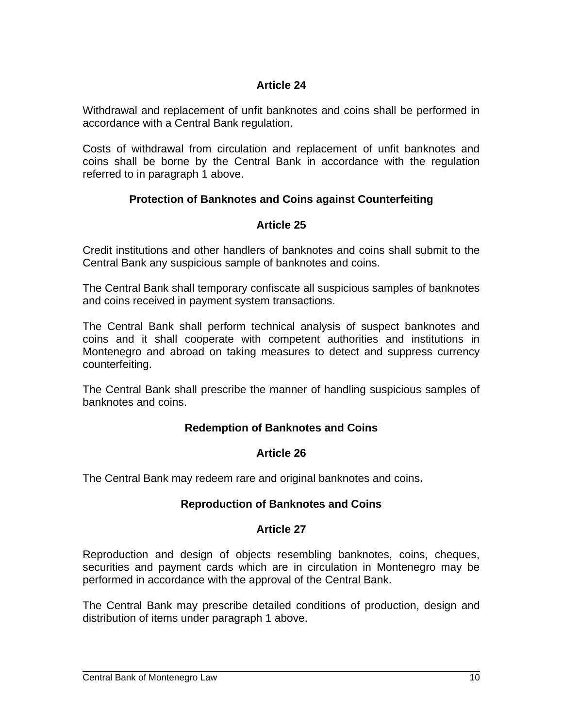## **Article 24**

Withdrawal and replacement of unfit banknotes and coins shall be performed in accordance with a Central Bank regulation.

Costs of withdrawal from circulation and replacement of unfit banknotes and coins shall be borne by the Central Bank in accordance with the regulation referred to in paragraph 1 above.

# **Protection of Banknotes and Coins against Counterfeiting**

## **Article 25**

Credit institutions and other handlers of banknotes and coins shall submit to the Central Bank any suspicious sample of banknotes and coins.

The Central Bank shall temporary confiscate all suspicious samples of banknotes and coins received in payment system transactions.

The Central Bank shall perform technical analysis of suspect banknotes and coins and it shall cooperate with competent authorities and institutions in Montenegro and abroad on taking measures to detect and suppress currency counterfeiting.

The Central Bank shall prescribe the manner of handling suspicious samples of banknotes and coins.

## **Redemption of Banknotes and Coins**

#### **Article 26**

The Central Bank may redeem rare and original banknotes and coins**.**

## **Reproduction of Banknotes and Coins**

#### **Article 27**

Reproduction and design of objects resembling banknotes, coins, cheques, securities and payment cards which are in circulation in Montenegro may be performed in accordance with the approval of the Central Bank.

The Central Bank may prescribe detailed conditions of production, design and distribution of items under paragraph 1 above.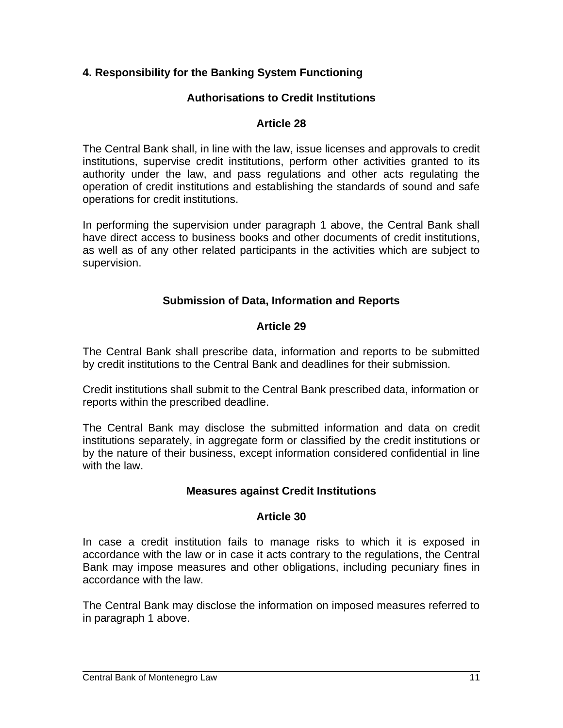## **4. Responsibility for the Banking System Functioning**

### **Authorisations to Credit Institutions**

#### **Article 28**

The Central Bank shall, in line with the law, issue licenses and approvals to credit institutions, supervise credit institutions, perform other activities granted to its authority under the law, and pass regulations and other acts regulating the operation of credit institutions and establishing the standards of sound and safe operations for credit institutions.

In performing the supervision under paragraph 1 above, the Central Bank shall have direct access to business books and other documents of credit institutions, as well as of any other related participants in the activities which are subject to supervision.

### **Submission of Data, Information and Reports**

### **Article 29**

The Central Bank shall prescribe data, information and reports to be submitted by credit institutions to the Central Bank and deadlines for their submission.

Credit institutions shall submit to the Central Bank prescribed data, information or reports within the prescribed deadline.

The Central Bank may disclose the submitted information and data on credit institutions separately, in aggregate form or classified by the credit institutions or by the nature of their business, except information considered confidential in line with the law.

#### **Measures against Credit Institutions**

#### **Article 30**

In case a credit institution fails to manage risks to which it is exposed in accordance with the law or in case it acts contrary to the regulations, the Central Bank may impose measures and other obligations, including pecuniary fines in accordance with the law.

The Central Bank may disclose the information on imposed measures referred to in paragraph 1 above.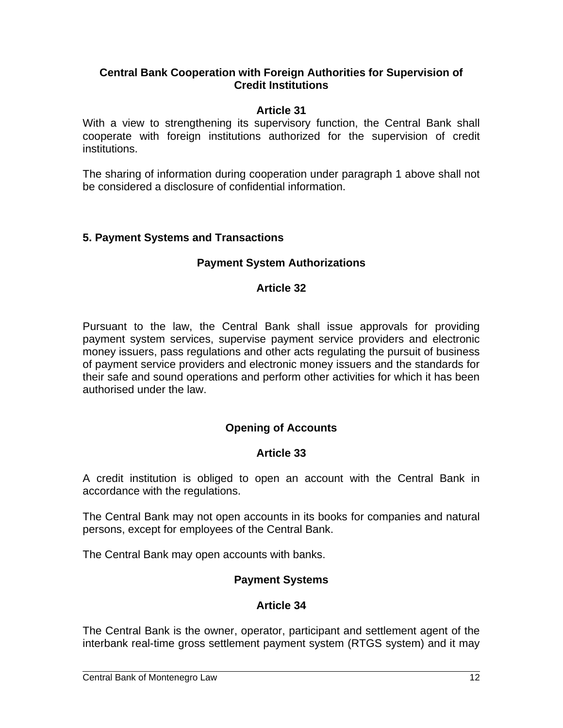#### **Central Bank Cooperation with Foreign Authorities for Supervision of Credit Institutions**

### **Article 31**

With a view to strengthening its supervisory function, the Central Bank shall cooperate with foreign institutions authorized for the supervision of credit institutions.

The sharing of information during cooperation under paragraph 1 above shall not be considered a disclosure of confidential information.

### **5. Payment Systems and Transactions**

### **Payment System Authorizations**

#### **Article 32**

Pursuant to the law, the Central Bank shall issue approvals for providing payment system services, supervise payment service providers and electronic money issuers, pass regulations and other acts regulating the pursuit of business of payment service providers and electronic money issuers and the standards for their safe and sound operations and perform other activities for which it has been authorised under the law.

## **Opening of Accounts**

#### **Article 33**

A credit institution is obliged to open an account with the Central Bank in accordance with the regulations.

The Central Bank may not open accounts in its books for companies and natural persons, except for employees of the Central Bank.

The Central Bank may open accounts with banks.

## **Payment Systems**

## **Article 34**

The Central Bank is the owner, operator, participant and settlement agent of the interbank real-time gross settlement payment system (RTGS system) and it may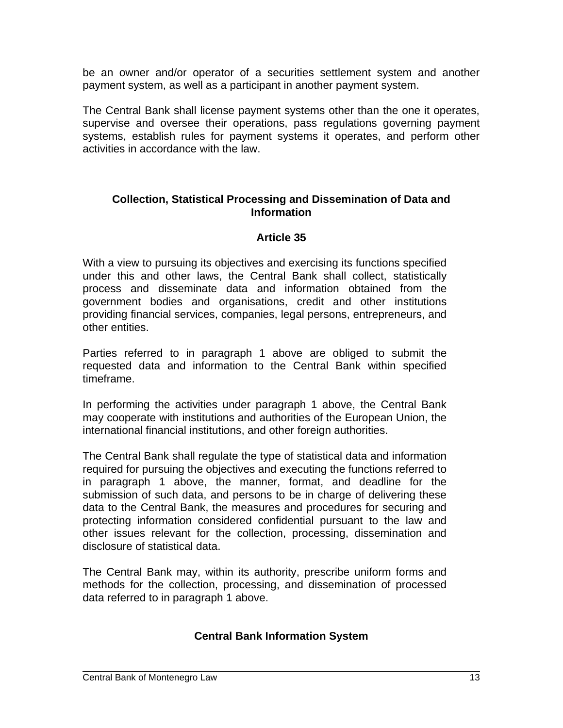be an owner and/or operator of a securities settlement system and another payment system, as well as a participant in another payment system.

The Central Bank shall license payment systems other than the one it operates, supervise and oversee their operations, pass regulations governing payment systems, establish rules for payment systems it operates, and perform other activities in accordance with the law.

#### **Collection, Statistical Processing and Dissemination of Data and Information**

#### **Article 35**

With a view to pursuing its objectives and exercising its functions specified under this and other laws, the Central Bank shall collect, statistically process and disseminate data and information obtained from the government bodies and organisations, credit and other institutions providing financial services, companies, legal persons, entrepreneurs, and other entities.

Parties referred to in paragraph 1 above are obliged to submit the requested data and information to the Central Bank within specified timeframe.

In performing the activities under paragraph 1 above, the Central Bank may cooperate with institutions and authorities of the European Union, the international financial institutions, and other foreign authorities.

The Central Bank shall regulate the type of statistical data and information required for pursuing the objectives and executing the functions referred to in paragraph 1 above, the manner, format, and deadline for the submission of such data, and persons to be in charge of delivering these data to the Central Bank, the measures and procedures for securing and protecting information considered confidential pursuant to the law and other issues relevant for the collection, processing, dissemination and disclosure of statistical data.

The Central Bank may, within its authority, prescribe uniform forms and methods for the collection, processing, and dissemination of processed data referred to in paragraph 1 above.

#### **Central Bank Information System**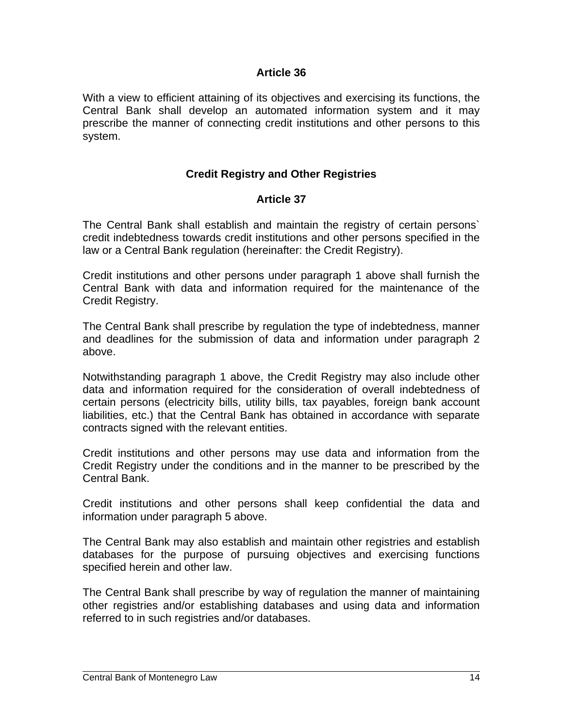#### **Article 36**

With a view to efficient attaining of its objectives and exercising its functions, the Central Bank shall develop an automated information system and it may prescribe the manner of connecting credit institutions and other persons to this system.

### **Credit Registry and Other Registries**

#### **Article 37**

The Central Bank shall establish and maintain the registry of certain persons` credit indebtedness towards credit institutions and other persons specified in the law or a Central Bank regulation (hereinafter: the Credit Registry).

Credit institutions and other persons under paragraph 1 above shall furnish the Central Bank with data and information required for the maintenance of the Credit Registry.

The Central Bank shall prescribe by regulation the type of indebtedness, manner and deadlines for the submission of data and information under paragraph 2 above.

Notwithstanding paragraph 1 above, the Credit Registry may also include other data and information required for the consideration of overall indebtedness of certain persons (electricity bills, utility bills, tax payables, foreign bank account liabilities, etc.) that the Central Bank has obtained in accordance with separate contracts signed with the relevant entities.

Credit institutions and other persons may use data and information from the Credit Registry under the conditions and in the manner to be prescribed by the Central Bank.

Credit institutions and other persons shall keep confidential the data and information under paragraph 5 above.

The Central Bank may also establish and maintain other registries and establish databases for the purpose of pursuing objectives and exercising functions specified herein and other law.

The Central Bank shall prescribe by way of regulation the manner of maintaining other registries and/or establishing databases and using data and information referred to in such registries and/or databases.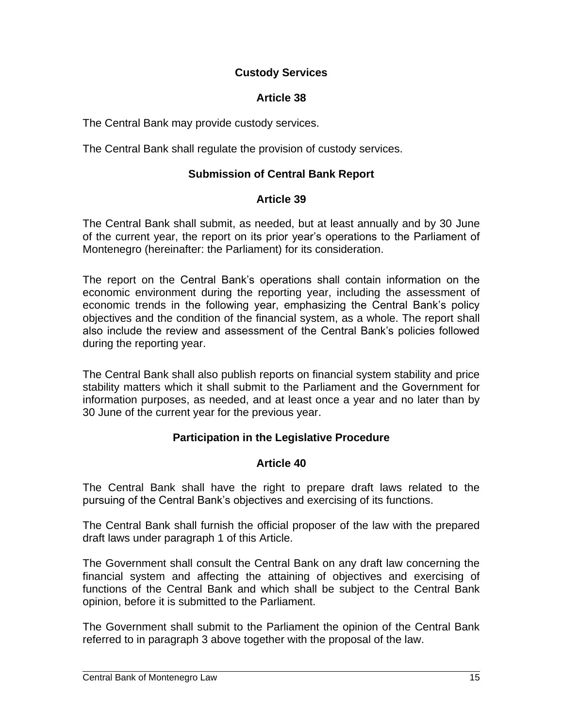### **Custody Services**

### **Article 38**

The Central Bank may provide custody services.

The Central Bank shall regulate the provision of custody services.

### **Submission of Central Bank Report**

#### **Article 39**

The Central Bank shall submit, as needed, but at least annually and by 30 June of the current year, the report on its prior year's operations to the Parliament of Montenegro (hereinafter: the Parliament) for its consideration.

The report on the Central Bank's operations shall contain information on the economic environment during the reporting year, including the assessment of economic trends in the following year, emphasizing the Central Bank's policy objectives and the condition of the financial system, as a whole. The report shall also include the review and assessment of the Central Bank's policies followed during the reporting year.

The Central Bank shall also publish reports on financial system stability and price stability matters which it shall submit to the Parliament and the Government for information purposes, as needed, and at least once a year and no later than by 30 June of the current year for the previous year.

#### **Participation in the Legislative Procedure**

#### **Article 40**

The Central Bank shall have the right to prepare draft laws related to the pursuing of the Central Bank's objectives and exercising of its functions.

The Central Bank shall furnish the official proposer of the law with the prepared draft laws under paragraph 1 of this Article.

The Government shall consult the Central Bank on any draft law concerning the financial system and affecting the attaining of objectives and exercising of functions of the Central Bank and which shall be subject to the Central Bank opinion, before it is submitted to the Parliament.

The Government shall submit to the Parliament the opinion of the Central Bank referred to in paragraph 3 above together with the proposal of the law.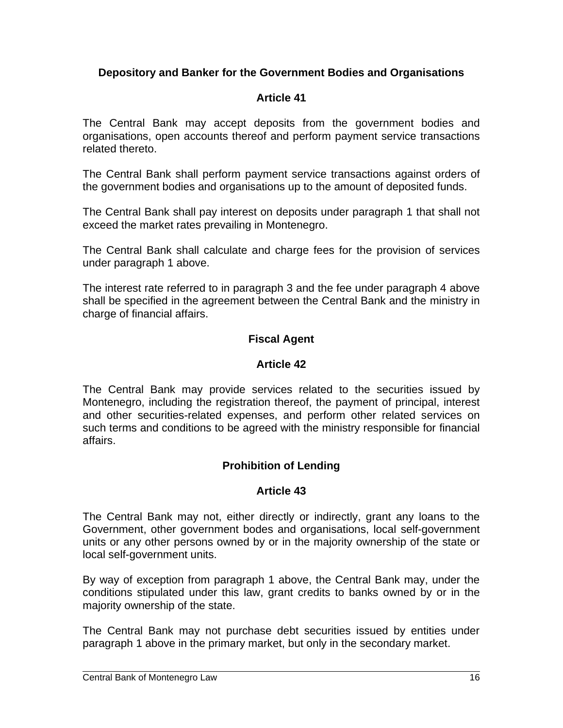### **Depository and Banker for the Government Bodies and Organisations**

### **Article 41**

The Central Bank may accept deposits from the government bodies and organisations, open accounts thereof and perform payment service transactions related thereto.

The Central Bank shall perform payment service transactions against orders of the government bodies and organisations up to the amount of deposited funds.

The Central Bank shall pay interest on deposits under paragraph 1 that shall not exceed the market rates prevailing in Montenegro.

The Central Bank shall calculate and charge fees for the provision of services under paragraph 1 above.

The interest rate referred to in paragraph 3 and the fee under paragraph 4 above shall be specified in the agreement between the Central Bank and the ministry in charge of financial affairs.

### **Fiscal Agent**

#### **Article 42**

The Central Bank may provide services related to the securities issued by Montenegro, including the registration thereof, the payment of principal, interest and other securities-related expenses, and perform other related services on such terms and conditions to be agreed with the ministry responsible for financial affairs.

## **Prohibition of Lending**

#### **Article 43**

The Central Bank may not, either directly or indirectly, grant any loans to the Government, other government bodes and organisations, local self-government units or any other persons owned by or in the majority ownership of the state or local self-government units.

By way of exception from paragraph 1 above, the Central Bank may, under the conditions stipulated under this law, grant credits to banks owned by or in the majority ownership of the state.

The Central Bank may not purchase debt securities issued by entities under paragraph 1 above in the primary market, but only in the secondary market.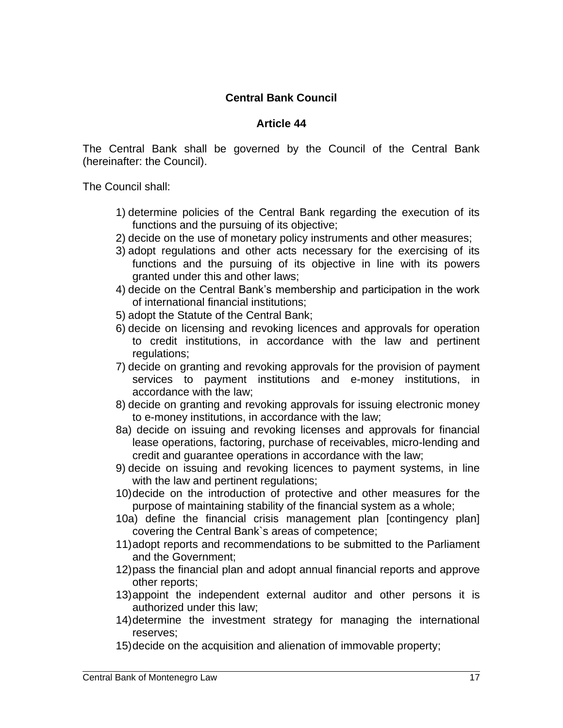## **Central Bank Council**

#### **Article 44**

The Central Bank shall be governed by the Council of the Central Bank (hereinafter: the Council).

The Council shall:

- 1) determine policies of the Central Bank regarding the execution of its functions and the pursuing of its objective;
- 2) decide on the use of monetary policy instruments and other measures;
- 3) adopt regulations and other acts necessary for the exercising of its functions and the pursuing of its objective in line with its powers granted under this and other laws;
- 4) decide on the Central Bank's membership and participation in the work of international financial institutions;
- 5) adopt the Statute of the Central Bank;
- 6) decide on licensing and revoking licences and approvals for operation to credit institutions, in accordance with the law and pertinent regulations;
- 7) decide on granting and revoking approvals for the provision of payment services to payment institutions and e-money institutions, in accordance with the law;
- 8) decide on granting and revoking approvals for issuing electronic money to e-money institutions, in accordance with the law;
- 8a) decide on issuing and revoking licenses and approvals for financial lease operations, factoring, purchase of receivables, micro-lending and credit and guarantee operations in accordance with the law;
- 9) decide on issuing and revoking licences to payment systems, in line with the law and pertinent regulations;
- 10)decide on the introduction of protective and other measures for the purpose of maintaining stability of the financial system as a whole;
- 10a) define the financial crisis management plan [contingency plan] covering the Central Bank`s areas of competence;
- 11)adopt reports and recommendations to be submitted to the Parliament and the Government;
- 12)pass the financial plan and adopt annual financial reports and approve other reports;
- 13)appoint the independent external auditor and other persons it is authorized under this law;
- 14)determine the investment strategy for managing the international reserves;
- 15)decide on the acquisition and alienation of immovable property;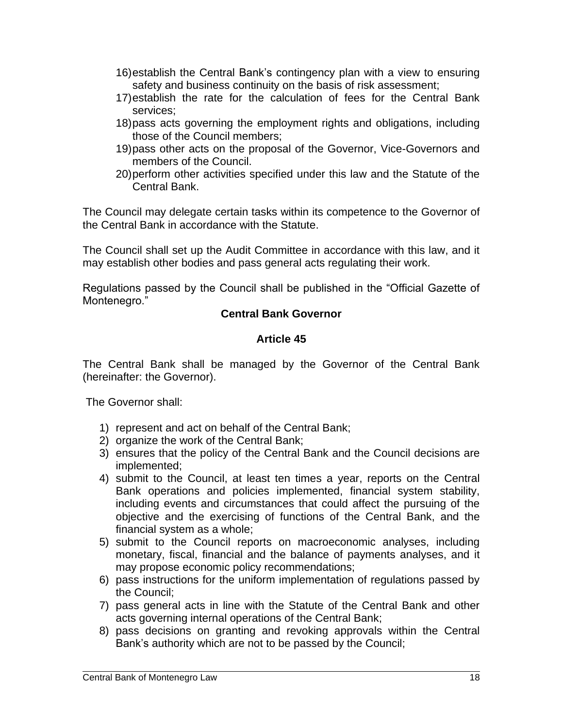- 16)establish the Central Bank's contingency plan with a view to ensuring safety and business continuity on the basis of risk assessment;
- 17)establish the rate for the calculation of fees for the Central Bank services;
- 18)pass acts governing the employment rights and obligations, including those of the Council members;
- 19)pass other acts on the proposal of the Governor, Vice-Governors and members of the Council.
- 20)perform other activities specified under this law and the Statute of the Central Bank.

The Council may delegate certain tasks within its competence to the Governor of the Central Bank in accordance with the Statute.

The Council shall set up the Audit Committee in accordance with this law, and it may establish other bodies and pass general acts regulating their work.

Regulations passed by the Council shall be published in the "Official Gazette of Montenegro."

#### **Central Bank Governor**

### **Article 45**

The Central Bank shall be managed by the Governor of the Central Bank (hereinafter: the Governor).

The Governor shall:

- 1) represent and act on behalf of the Central Bank;
- 2) organize the work of the Central Bank;
- 3) ensures that the policy of the Central Bank and the Council decisions are implemented;
- 4) submit to the Council, at least ten times a year, reports on the Central Bank operations and policies implemented, financial system stability, including events and circumstances that could affect the pursuing of the objective and the exercising of functions of the Central Bank, and the financial system as a whole;
- 5) submit to the Council reports on macroeconomic analyses, including monetary, fiscal, financial and the balance of payments analyses, and it may propose economic policy recommendations;
- 6) pass instructions for the uniform implementation of regulations passed by the Council;
- 7) pass general acts in line with the Statute of the Central Bank and other acts governing internal operations of the Central Bank;
- 8) pass decisions on granting and revoking approvals within the Central Bank's authority which are not to be passed by the Council;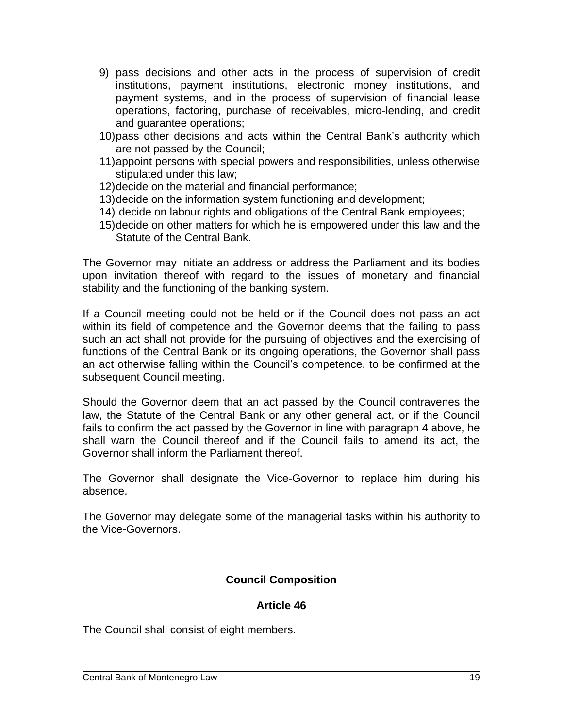- 9) pass decisions and other acts in the process of supervision of credit institutions, payment institutions, electronic money institutions, and payment systems, and in the process of supervision of financial lease operations, factoring, purchase of receivables, micro-lending, and credit and guarantee operations;
- 10)pass other decisions and acts within the Central Bank's authority which are not passed by the Council;
- 11)appoint persons with special powers and responsibilities, unless otherwise stipulated under this law;
- 12)decide on the material and financial performance;
- 13)decide on the information system functioning and development;
- 14) decide on labour rights and obligations of the Central Bank employees;
- 15)decide on other matters for which he is empowered under this law and the Statute of the Central Bank.

The Governor may initiate an address or address the Parliament and its bodies upon invitation thereof with regard to the issues of monetary and financial stability and the functioning of the banking system.

If a Council meeting could not be held or if the Council does not pass an act within its field of competence and the Governor deems that the failing to pass such an act shall not provide for the pursuing of objectives and the exercising of functions of the Central Bank or its ongoing operations, the Governor shall pass an act otherwise falling within the Council's competence, to be confirmed at the subsequent Council meeting.

Should the Governor deem that an act passed by the Council contravenes the law, the Statute of the Central Bank or any other general act, or if the Council fails to confirm the act passed by the Governor in line with paragraph 4 above, he shall warn the Council thereof and if the Council fails to amend its act, the Governor shall inform the Parliament thereof.

The Governor shall designate the Vice-Governor to replace him during his absence.

The Governor may delegate some of the managerial tasks within his authority to the Vice-Governors.

## **Council Composition**

#### **Article 46**

The Council shall consist of eight members.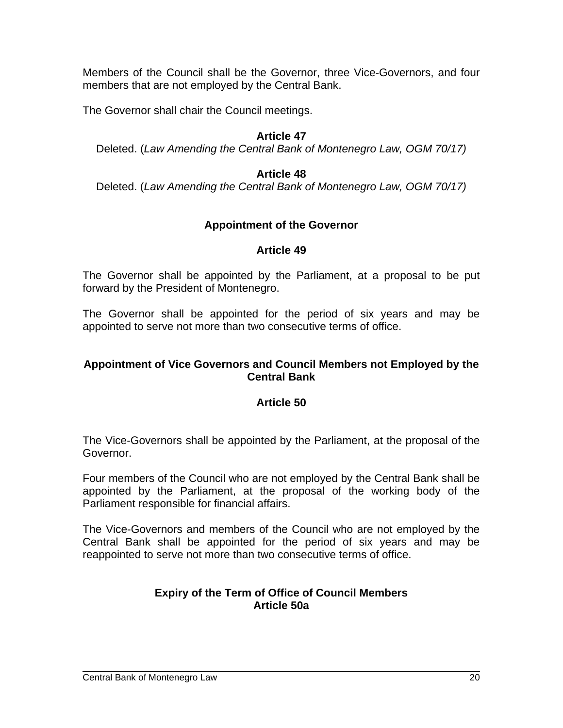Members of the Council shall be the Governor, three Vice-Governors, and four members that are not employed by the Central Bank.

The Governor shall chair the Council meetings.

#### **Article 47**

Deleted. (*Law Amending the Central Bank of Montenegro Law, OGM 70/17)*

#### **Article 48**

Deleted. (*Law Amending the Central Bank of Montenegro Law, OGM 70/17)*

#### **Appointment of the Governor**

#### **Article 49**

The Governor shall be appointed by the Parliament, at a proposal to be put forward by the President of Montenegro.

The Governor shall be appointed for the period of six years and may be appointed to serve not more than two consecutive terms of office.

#### **Appointment of Vice Governors and Council Members not Employed by the Central Bank**

#### **Article 50**

The Vice-Governors shall be appointed by the Parliament, at the proposal of the Governor.

Four members of the Council who are not employed by the Central Bank shall be appointed by the Parliament, at the proposal of the working body of the Parliament responsible for financial affairs.

The Vice-Governors and members of the Council who are not employed by the Central Bank shall be appointed for the period of six years and may be reappointed to serve not more than two consecutive terms of office.

#### **Expiry of the Term of Office of Council Members Article 50a**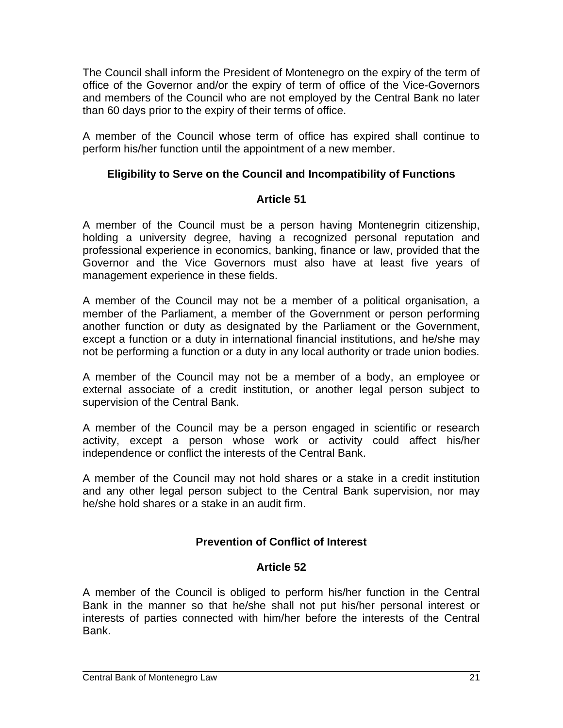The Council shall inform the President of Montenegro on the expiry of the term of office of the Governor and/or the expiry of term of office of the Vice-Governors and members of the Council who are not employed by the Central Bank no later than 60 days prior to the expiry of their terms of office.

A member of the Council whose term of office has expired shall continue to perform his/her function until the appointment of a new member.

## **Eligibility to Serve on the Council and Incompatibility of Functions**

## **Article 51**

A member of the Council must be a person having Montenegrin citizenship, holding a university degree, having a recognized personal reputation and professional experience in economics, banking, finance or law, provided that the Governor and the Vice Governors must also have at least five years of management experience in these fields.

A member of the Council may not be a member of a political organisation, a member of the Parliament, a member of the Government or person performing another function or duty as designated by the Parliament or the Government, except a function or a duty in international financial institutions, and he/she may not be performing a function or a duty in any local authority or trade union bodies.

A member of the Council may not be a member of a body, an employee or external associate of a credit institution, or another legal person subject to supervision of the Central Bank.

A member of the Council may be a person engaged in scientific or research activity, except a person whose work or activity could affect his/her independence or conflict the interests of the Central Bank.

A member of the Council may not hold shares or a stake in a credit institution and any other legal person subject to the Central Bank supervision, nor may he/she hold shares or a stake in an audit firm.

# **Prevention of Conflict of Interest**

# **Article 52**

A member of the Council is obliged to perform his/her function in the Central Bank in the manner so that he/she shall not put his/her personal interest or interests of parties connected with him/her before the interests of the Central Bank.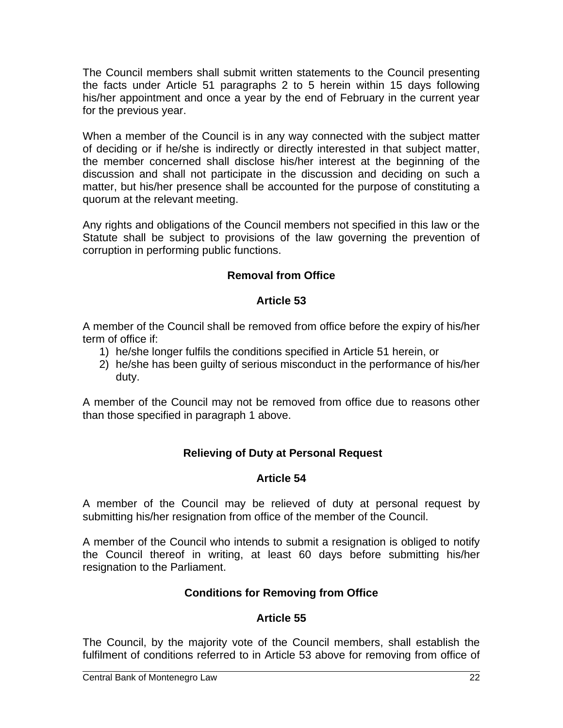The Council members shall submit written statements to the Council presenting the facts under Article 51 paragraphs 2 to 5 herein within 15 days following his/her appointment and once a year by the end of February in the current year for the previous year.

When a member of the Council is in any way connected with the subject matter of deciding or if he/she is indirectly or directly interested in that subject matter, the member concerned shall disclose his/her interest at the beginning of the discussion and shall not participate in the discussion and deciding on such a matter, but his/her presence shall be accounted for the purpose of constituting a quorum at the relevant meeting.

Any rights and obligations of the Council members not specified in this law or the Statute shall be subject to provisions of the law governing the prevention of corruption in performing public functions.

# **Removal from Office**

### **Article 53**

A member of the Council shall be removed from office before the expiry of his/her term of office if:

- 1) he/she longer fulfils the conditions specified in Article 51 herein, or
- 2) he/she has been guilty of serious misconduct in the performance of his/her duty.

A member of the Council may not be removed from office due to reasons other than those specified in paragraph 1 above.

## **Relieving of Duty at Personal Request**

## **Article 54**

A member of the Council may be relieved of duty at personal request by submitting his/her resignation from office of the member of the Council.

A member of the Council who intends to submit a resignation is obliged to notify the Council thereof in writing, at least 60 days before submitting his/her resignation to the Parliament.

## **Conditions for Removing from Office**

## **Article 55**

The Council, by the majority vote of the Council members, shall establish the fulfilment of conditions referred to in Article 53 above for removing from office of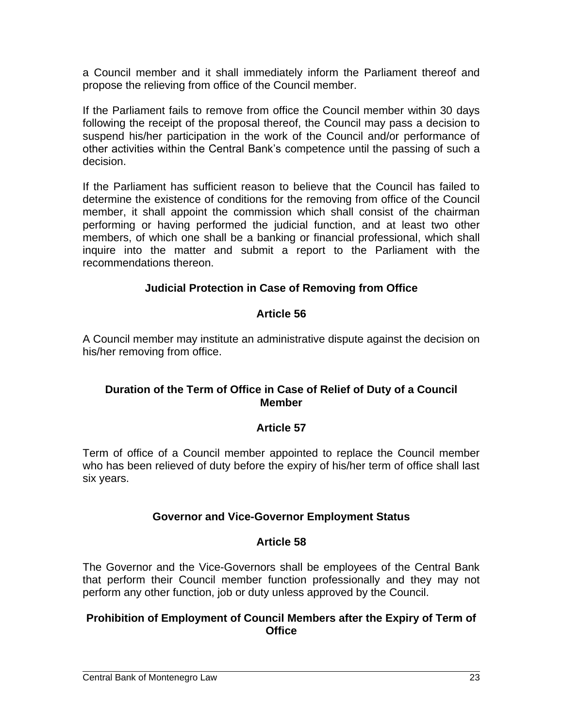a Council member and it shall immediately inform the Parliament thereof and propose the relieving from office of the Council member.

If the Parliament fails to remove from office the Council member within 30 days following the receipt of the proposal thereof, the Council may pass a decision to suspend his/her participation in the work of the Council and/or performance of other activities within the Central Bank's competence until the passing of such a decision.

If the Parliament has sufficient reason to believe that the Council has failed to determine the existence of conditions for the removing from office of the Council member, it shall appoint the commission which shall consist of the chairman performing or having performed the judicial function, and at least two other members, of which one shall be a banking or financial professional, which shall inquire into the matter and submit a report to the Parliament with the recommendations thereon.

## **Judicial Protection in Case of Removing from Office**

## **Article 56**

A Council member may institute an administrative dispute against the decision on his/her removing from office.

#### **Duration of the Term of Office in Case of Relief of Duty of a Council Member**

## **Article 57**

Term of office of a Council member appointed to replace the Council member who has been relieved of duty before the expiry of his/her term of office shall last six years.

#### **Governor and Vice-Governor Employment Status**

#### **Article 58**

The Governor and the Vice-Governors shall be employees of the Central Bank that perform their Council member function professionally and they may not perform any other function, job or duty unless approved by the Council.

#### **Prohibition of Employment of Council Members after the Expiry of Term of Office**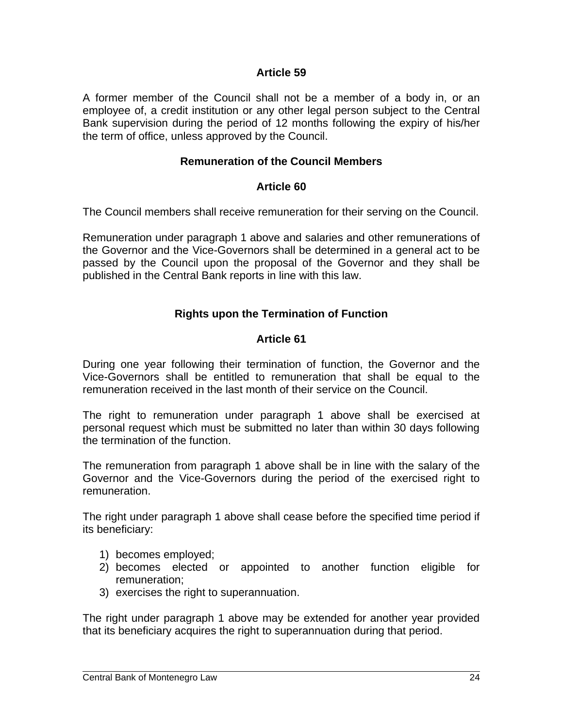#### **Article 59**

A former member of the Council shall not be a member of a body in, or an employee of, a credit institution or any other legal person subject to the Central Bank supervision during the period of 12 months following the expiry of his/her the term of office, unless approved by the Council.

#### **Remuneration of the Council Members**

#### **Article 60**

The Council members shall receive remuneration for their serving on the Council.

Remuneration under paragraph 1 above and salaries and other remunerations of the Governor and the Vice-Governors shall be determined in a general act to be passed by the Council upon the proposal of the Governor and they shall be published in the Central Bank reports in line with this law.

### **Rights upon the Termination of Function**

#### **Article 61**

During one year following their termination of function, the Governor and the Vice-Governors shall be entitled to remuneration that shall be equal to the remuneration received in the last month of their service on the Council.

The right to remuneration under paragraph 1 above shall be exercised at personal request which must be submitted no later than within 30 days following the termination of the function.

The remuneration from paragraph 1 above shall be in line with the salary of the Governor and the Vice-Governors during the period of the exercised right to remuneration.

The right under paragraph 1 above shall cease before the specified time period if its beneficiary:

- 1) becomes employed;
- 2) becomes elected or appointed to another function eligible for remuneration;
- 3) exercises the right to superannuation.

The right under paragraph 1 above may be extended for another year provided that its beneficiary acquires the right to superannuation during that period.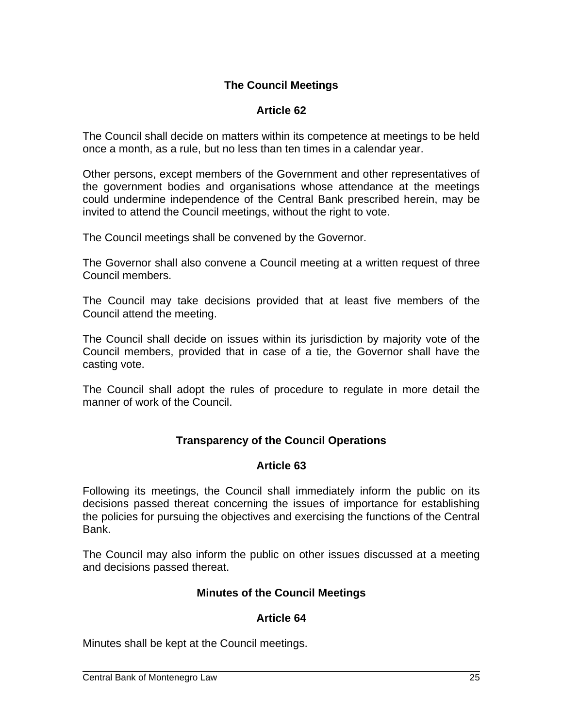## **The Council Meetings**

## **Article 62**

The Council shall decide on matters within its competence at meetings to be held once a month, as a rule, but no less than ten times in a calendar year.

Other persons, except members of the Government and other representatives of the government bodies and organisations whose attendance at the meetings could undermine independence of the Central Bank prescribed herein, may be invited to attend the Council meetings, without the right to vote.

The Council meetings shall be convened by the Governor.

The Governor shall also convene a Council meeting at a written request of three Council members.

The Council may take decisions provided that at least five members of the Council attend the meeting.

The Council shall decide on issues within its jurisdiction by majority vote of the Council members, provided that in case of a tie, the Governor shall have the casting vote.

The Council shall adopt the rules of procedure to regulate in more detail the manner of work of the Council.

## **Transparency of the Council Operations**

## **Article 63**

Following its meetings, the Council shall immediately inform the public on its decisions passed thereat concerning the issues of importance for establishing the policies for pursuing the objectives and exercising the functions of the Central Bank.

The Council may also inform the public on other issues discussed at a meeting and decisions passed thereat.

## **Minutes of the Council Meetings**

## **Article 64**

Minutes shall be kept at the Council meetings.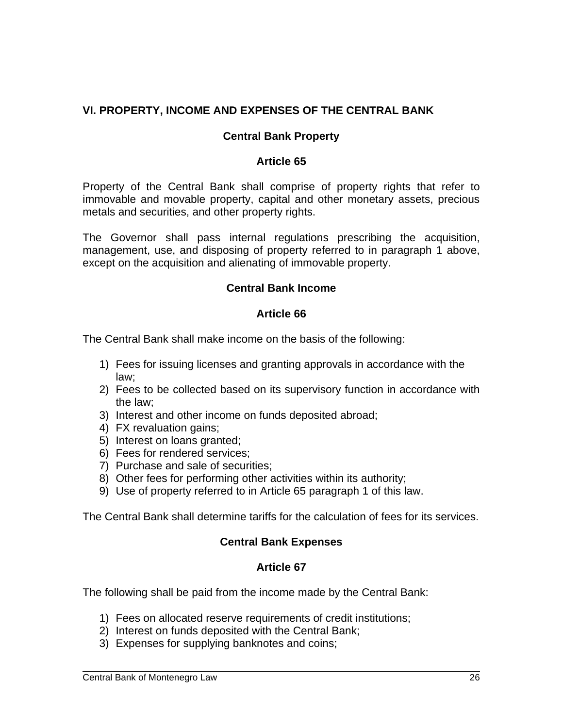## **VI. PROPERTY, INCOME AND EXPENSES OF THE CENTRAL BANK**

### **Central Bank Property**

#### **Article 65**

Property of the Central Bank shall comprise of property rights that refer to immovable and movable property, capital and other monetary assets, precious metals and securities, and other property rights.

The Governor shall pass internal regulations prescribing the acquisition, management, use, and disposing of property referred to in paragraph 1 above, except on the acquisition and alienating of immovable property.

#### **Central Bank Income**

#### **Article 66**

The Central Bank shall make income on the basis of the following:

- 1) Fees for issuing licenses and granting approvals in accordance with the law;
- 2) Fees to be collected based on its supervisory function in accordance with the law;
- 3) Interest and other income on funds deposited abroad;
- 4) FX revaluation gains;
- 5) Interest on loans granted;
- 6) Fees for rendered services;
- 7) Purchase and sale of securities;
- 8) Other fees for performing other activities within its authority;
- 9) Use of property referred to in Article 65 paragraph 1 of this law.

The Central Bank shall determine tariffs for the calculation of fees for its services.

#### **Central Bank Expenses**

#### **Article 67**

The following shall be paid from the income made by the Central Bank:

- 1) Fees on allocated reserve requirements of credit institutions;
- 2) Interest on funds deposited with the Central Bank;
- 3) Expenses for supplying banknotes and coins;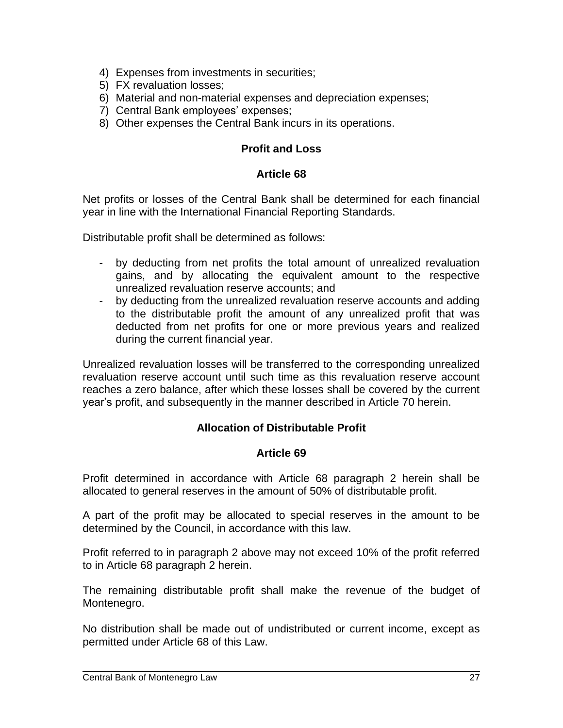- 4) Expenses from investments in securities;
- 5) FX revaluation losses;
- 6) Material and non-material expenses and depreciation expenses;
- 7) Central Bank employees' expenses;
- 8) Other expenses the Central Bank incurs in its operations.

#### **Profit and Loss**

#### **Article 68**

Net profits or losses of the Central Bank shall be determined for each financial year in line with the International Financial Reporting Standards.

Distributable profit shall be determined as follows:

- by deducting from net profits the total amount of unrealized revaluation gains, and by allocating the equivalent amount to the respective unrealized revaluation reserve accounts; and
- by deducting from the unrealized revaluation reserve accounts and adding to the distributable profit the amount of any unrealized profit that was deducted from net profits for one or more previous years and realized during the current financial year.

Unrealized revaluation losses will be transferred to the corresponding unrealized revaluation reserve account until such time as this revaluation reserve account reaches a zero balance, after which these losses shall be covered by the current year's profit, and subsequently in the manner described in Article 70 herein.

#### **Allocation of Distributable Profit**

#### **Article 69**

Profit determined in accordance with Article 68 paragraph 2 herein shall be allocated to general reserves in the amount of 50% of distributable profit.

A part of the profit may be allocated to special reserves in the amount to be determined by the Council, in accordance with this law.

Profit referred to in paragraph 2 above may not exceed 10% of the profit referred to in Article 68 paragraph 2 herein.

The remaining distributable profit shall make the revenue of the budget of Montenegro.

No distribution shall be made out of undistributed or current income, except as permitted under Article 68 of this Law.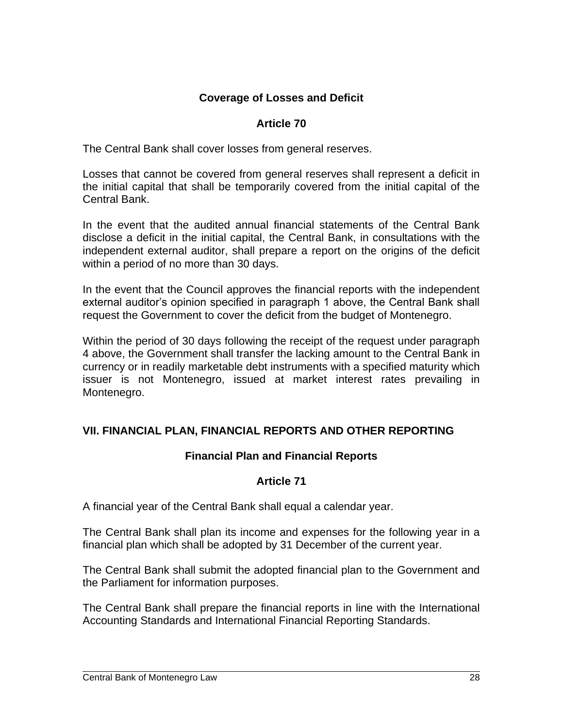### **Coverage of Losses and Deficit**

#### **Article 70**

The Central Bank shall cover losses from general reserves.

Losses that cannot be covered from general reserves shall represent a deficit in the initial capital that shall be temporarily covered from the initial capital of the Central Bank.

In the event that the audited annual financial statements of the Central Bank disclose a deficit in the initial capital, the Central Bank, in consultations with the independent external auditor, shall prepare a report on the origins of the deficit within a period of no more than 30 days.

In the event that the Council approves the financial reports with the independent external auditor's opinion specified in paragraph 1 above, the Central Bank shall request the Government to cover the deficit from the budget of Montenegro.

Within the period of 30 days following the receipt of the request under paragraph 4 above, the Government shall transfer the lacking amount to the Central Bank in currency or in readily marketable debt instruments with a specified maturity which issuer is not Montenegro, issued at market interest rates prevailing in Montenegro.

#### **VII. FINANCIAL PLAN, FINANCIAL REPORTS AND OTHER REPORTING**

#### **Financial Plan and Financial Reports**

#### **Article 71**

A financial year of the Central Bank shall equal a calendar year.

The Central Bank shall plan its income and expenses for the following year in a financial plan which shall be adopted by 31 December of the current year.

The Central Bank shall submit the adopted financial plan to the Government and the Parliament for information purposes.

The Central Bank shall prepare the financial reports in line with the International Accounting Standards and International Financial Reporting Standards.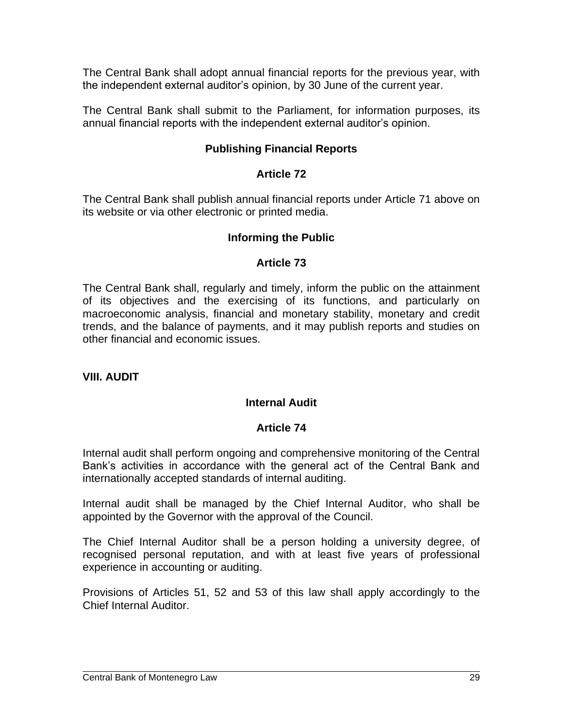The Central Bank shall adopt annual financial reports for the previous year, with the independent external auditor's opinion, by 30 June of the current year.

The Central Bank shall submit to the Parliament, for information purposes, its annual financial reports with the independent external auditor's opinion.

#### **Publishing Financial Reports**

#### **Article 72**

The Central Bank shall publish annual financial reports under Article 71 above on its website or via other electronic or printed media.

#### **Informing the Public**

#### **Article 73**

The Central Bank shall, regularly and timely, inform the public on the attainment of its objectives and the exercising of its functions, and particularly on macroeconomic analysis, financial and monetary stability, monetary and credit trends, and the balance of payments, and it may publish reports and studies on other financial and economic issues.

#### **VIII. AUDIT**

#### **Internal Audit**

#### **Article 74**

Internal audit shall perform ongoing and comprehensive monitoring of the Central Bank's activities in accordance with the general act of the Central Bank and internationally accepted standards of internal auditing.

Internal audit shall be managed by the Chief Internal Auditor, who shall be appointed by the Governor with the approval of the Council.

The Chief Internal Auditor shall be a person holding a university degree, of recognised personal reputation, and with at least five years of professional experience in accounting or auditing.

Provisions of Articles 51, 52 and 53 of this law shall apply accordingly to the Chief Internal Auditor.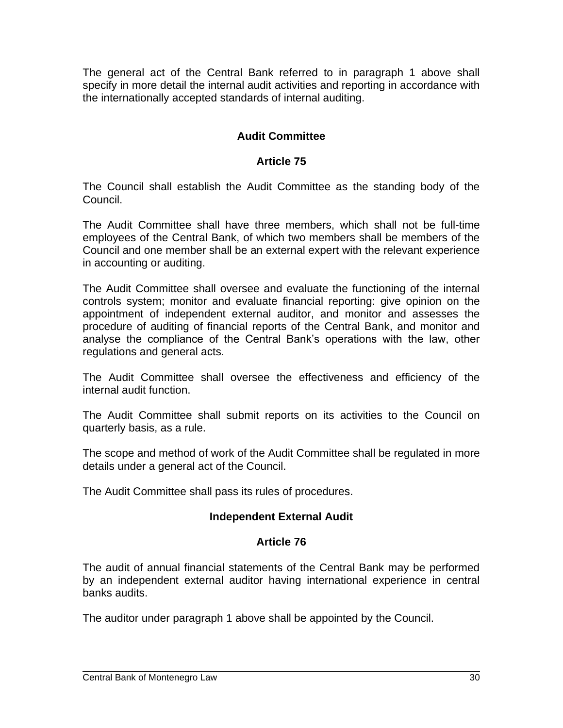The general act of the Central Bank referred to in paragraph 1 above shall specify in more detail the internal audit activities and reporting in accordance with the internationally accepted standards of internal auditing.

# **Audit Committee**

### **Article 75**

The Council shall establish the Audit Committee as the standing body of the Council.

The Audit Committee shall have three members, which shall not be full-time employees of the Central Bank, of which two members shall be members of the Council and one member shall be an external expert with the relevant experience in accounting or auditing.

The Audit Committee shall oversee and evaluate the functioning of the internal controls system; monitor and evaluate financial reporting: give opinion on the appointment of independent external auditor, and monitor and assesses the procedure of auditing of financial reports of the Central Bank, and monitor and analyse the compliance of the Central Bank's operations with the law, other regulations and general acts.

The Audit Committee shall oversee the effectiveness and efficiency of the internal audit function.

The Audit Committee shall submit reports on its activities to the Council on quarterly basis, as a rule.

The scope and method of work of the Audit Committee shall be regulated in more details under a general act of the Council.

The Audit Committee shall pass its rules of procedures.

#### **Independent External Audit**

#### **Article 76**

The audit of annual financial statements of the Central Bank may be performed by an independent external auditor having international experience in central banks audits.

The auditor under paragraph 1 above shall be appointed by the Council.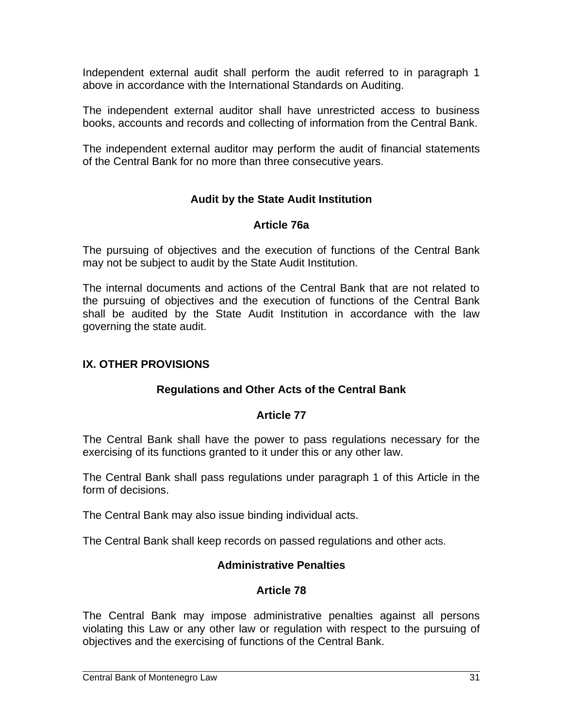Independent external audit shall perform the audit referred to in paragraph 1 above in accordance with the International Standards on Auditing.

The independent external auditor shall have unrestricted access to business books, accounts and records and collecting of information from the Central Bank.

The independent external auditor may perform the audit of financial statements of the Central Bank for no more than three consecutive years.

## **Audit by the State Audit Institution**

#### **Article 76a**

The pursuing of objectives and the execution of functions of the Central Bank may not be subject to audit by the State Audit Institution.

The internal documents and actions of the Central Bank that are not related to the pursuing of objectives and the execution of functions of the Central Bank shall be audited by the State Audit Institution in accordance with the law governing the state audit.

### **IX. OTHER PROVISIONS**

#### **Regulations and Other Acts of the Central Bank**

#### **Article 77**

The Central Bank shall have the power to pass regulations necessary for the exercising of its functions granted to it under this or any other law.

The Central Bank shall pass regulations under paragraph 1 of this Article in the form of decisions.

The Central Bank may also issue binding individual acts.

The Central Bank shall keep records on passed regulations and other acts.

#### **Administrative Penalties**

#### **Article 78**

The Central Bank may impose administrative penalties against all persons violating this Law or any other law or regulation with respect to the pursuing of objectives and the exercising of functions of the Central Bank.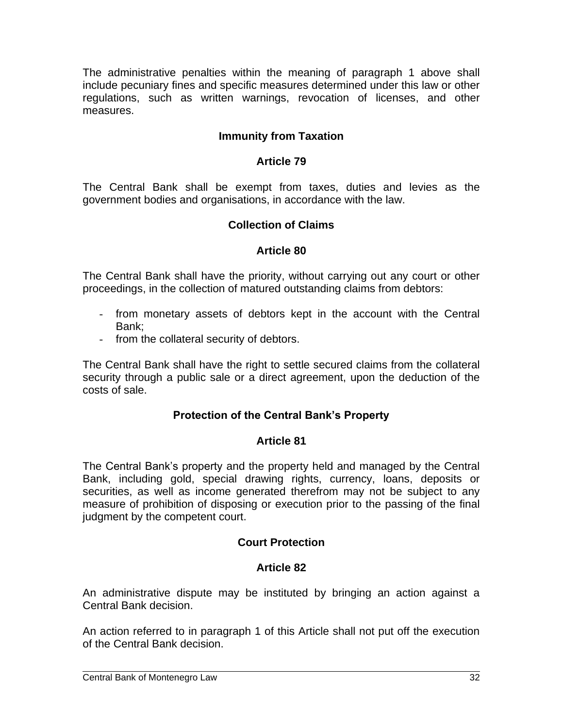The administrative penalties within the meaning of paragraph 1 above shall include pecuniary fines and specific measures determined under this law or other regulations, such as written warnings, revocation of licenses, and other measures.

## **Immunity from Taxation**

#### **Article 79**

The Central Bank shall be exempt from taxes, duties and levies as the government bodies and organisations, in accordance with the law.

#### **Collection of Claims**

#### **Article 80**

The Central Bank shall have the priority, without carrying out any court or other proceedings, in the collection of matured outstanding claims from debtors:

- from monetary assets of debtors kept in the account with the Central Bank;
- from the collateral security of debtors.

The Central Bank shall have the right to settle secured claims from the collateral security through a public sale or a direct agreement, upon the deduction of the costs of sale.

#### **Protection of the Central Bank's Property**

#### **Article 81**

The Central Bank's property and the property held and managed by the Central Bank, including gold, special drawing rights, currency, loans, deposits or securities, as well as income generated therefrom may not be subject to any measure of prohibition of disposing or execution prior to the passing of the final judgment by the competent court.

#### **Court Protection**

#### **Article 82**

An administrative dispute may be instituted by bringing an action against a Central Bank decision.

An action referred to in paragraph 1 of this Article shall not put off the execution of the Central Bank decision.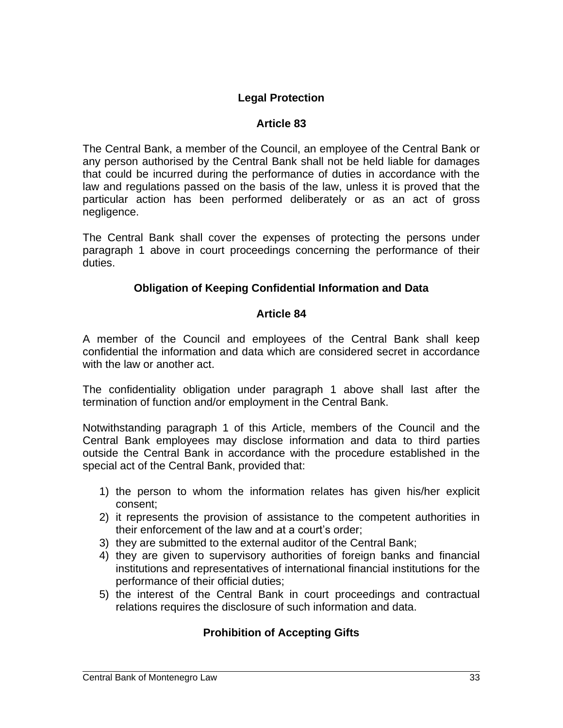# **Legal Protection**

### **Article 83**

The Central Bank, a member of the Council, an employee of the Central Bank or any person authorised by the Central Bank shall not be held liable for damages that could be incurred during the performance of duties in accordance with the law and regulations passed on the basis of the law, unless it is proved that the particular action has been performed deliberately or as an act of gross negligence.

The Central Bank shall cover the expenses of protecting the persons under paragraph 1 above in court proceedings concerning the performance of their duties.

## **Obligation of Keeping Confidential Information and Data**

#### **Article 84**

A member of the Council and employees of the Central Bank shall keep confidential the information and data which are considered secret in accordance with the law or another act.

The confidentiality obligation under paragraph 1 above shall last after the termination of function and/or employment in the Central Bank.

Notwithstanding paragraph 1 of this Article, members of the Council and the Central Bank employees may disclose information and data to third parties outside the Central Bank in accordance with the procedure established in the special act of the Central Bank, provided that:

- 1) the person to whom the information relates has given his/her explicit consent;
- 2) it represents the provision of assistance to the competent authorities in their enforcement of the law and at a court's order;
- 3) they are submitted to the external auditor of the Central Bank;
- 4) they are given to supervisory authorities of foreign banks and financial institutions and representatives of international financial institutions for the performance of their official duties;
- 5) the interest of the Central Bank in court proceedings and contractual relations requires the disclosure of such information and data.

# **Prohibition of Accepting Gifts**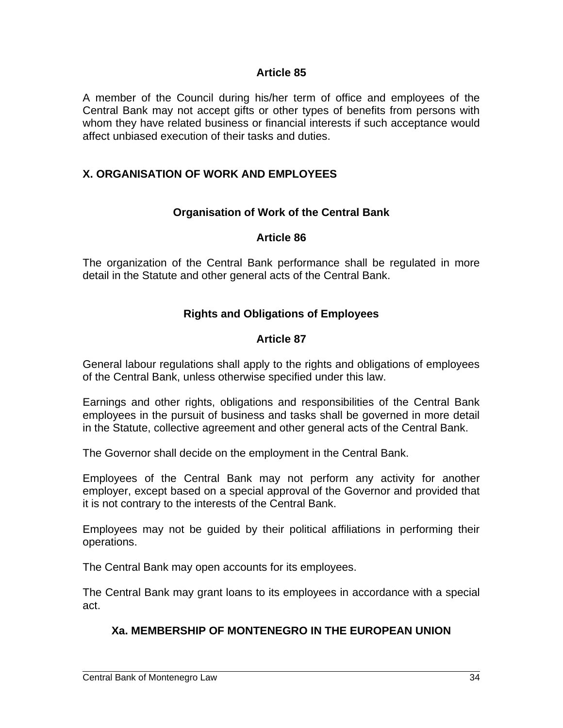#### **Article 85**

A member of the Council during his/her term of office and employees of the Central Bank may not accept gifts or other types of benefits from persons with whom they have related business or financial interests if such acceptance would affect unbiased execution of their tasks and duties.

### **X. ORGANISATION OF WORK AND EMPLOYEES**

#### **Organisation of Work of the Central Bank**

#### **Article 86**

The organization of the Central Bank performance shall be regulated in more detail in the Statute and other general acts of the Central Bank.

### **Rights and Obligations of Employees**

#### **Article 87**

General labour regulations shall apply to the rights and obligations of employees of the Central Bank, unless otherwise specified under this law.

Earnings and other rights, obligations and responsibilities of the Central Bank employees in the pursuit of business and tasks shall be governed in more detail in the Statute, collective agreement and other general acts of the Central Bank.

The Governor shall decide on the employment in the Central Bank.

Employees of the Central Bank may not perform any activity for another employer, except based on a special approval of the Governor and provided that it is not contrary to the interests of the Central Bank.

Employees may not be guided by their political affiliations in performing their operations.

The Central Bank may open accounts for its employees.

The Central Bank may grant loans to its employees in accordance with a special act.

#### **Xa. MEMBERSHIP OF MONTENEGRO IN THE EUROPEAN UNION**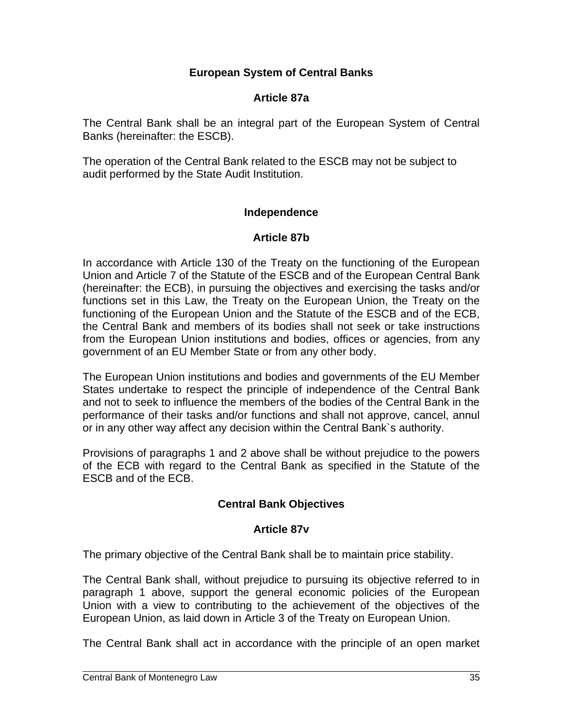### **European System of Central Banks**

### **Article 87a**

The Central Bank shall be an integral part of the European System of Central Banks (hereinafter: the ESCB).

The operation of the Central Bank related to the ESCB may not be subject to audit performed by the State Audit Institution.

### **Independence**

### **Article 87b**

In accordance with Article 130 of the Treaty on the functioning of the European Union and Article 7 of the Statute of the ESCB and of the European Central Bank (hereinafter: the ECB), in pursuing the objectives and exercising the tasks and/or functions set in this Law, the Treaty on the European Union, the Treaty on the functioning of the European Union and the Statute of the ESCB and of the ECB, the Central Bank and members of its bodies shall not seek or take instructions from the European Union institutions and bodies, offices or agencies, from any government of an EU Member State or from any other body.

The European Union institutions and bodies and governments of the EU Member States undertake to respect the principle of independence of the Central Bank and not to seek to influence the members of the bodies of the Central Bank in the performance of their tasks and/or functions and shall not approve, cancel, annul or in any other way affect any decision within the Central Bank`s authority.

Provisions of paragraphs 1 and 2 above shall be without prejudice to the powers of the ECB with regard to the Central Bank as specified in the Statute of the ESCB and of the ECB.

## **Central Bank Objectives**

#### **Article 87v**

The primary objective of the Central Bank shall be to maintain price stability.

The Central Bank shall, without prejudice to pursuing its objective referred to in paragraph 1 above, support the general economic policies of the European Union with a view to contributing to the achievement of the objectives of the European Union, as laid down in Article 3 of the Treaty on European Union.

The Central Bank shall act in accordance with the principle of an open market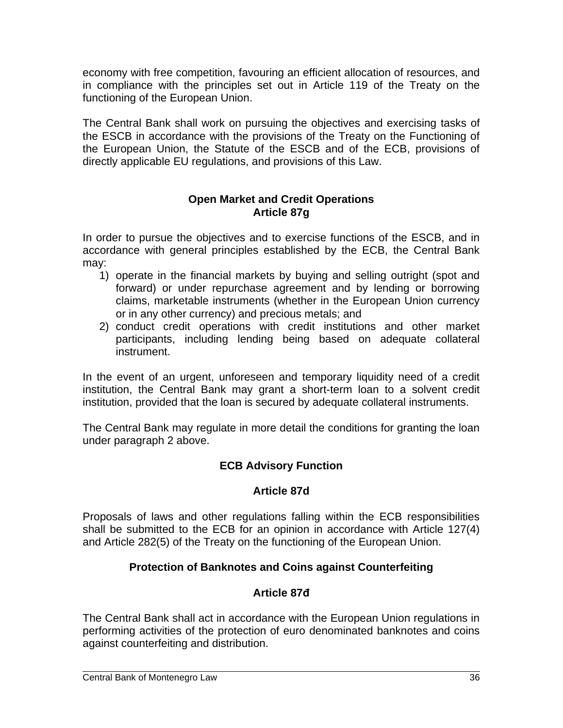economy with free competition, favouring an efficient allocation of resources, and in compliance with the principles set out in Article 119 of the Treaty on the functioning of the European Union.

The Central Bank shall work on pursuing the objectives and exercising tasks of the ESCB in accordance with the provisions of the Treaty on the Functioning of the European Union, the Statute of the ESCB and of the ECB, provisions of directly applicable EU regulations, and provisions of this Law.

#### **Open Market and Credit Operations Article 87g**

In order to pursue the objectives and to exercise functions of the ESCB, and in accordance with general principles established by the ECB, the Central Bank may:

- 1) operate in the financial markets by buying and selling outright (spot and forward) or under repurchase agreement and by lending or borrowing claims, marketable instruments (whether in the European Union currency or in any other currency) and precious metals; and
- 2) conduct credit operations with credit institutions and other market participants, including lending being based on adequate collateral instrument.

In the event of an urgent, unforeseen and temporary liquidity need of a credit institution, the Central Bank may grant a short-term loan to a solvent credit institution, provided that the loan is secured by adequate collateral instruments.

The Central Bank may regulate in more detail the conditions for granting the loan under paragraph 2 above.

# **ECB Advisory Function**

## **Article 87d**

Proposals of laws and other regulations falling within the ECB responsibilities shall be submitted to the ECB for an opinion in accordance with Article 127(4) and Article 282(5) of the Treaty on the functioning of the European Union.

# **Protection of Banknotes and Coins against Counterfeiting**

## **Article 87đ**

The Central Bank shall act in accordance with the European Union regulations in performing activities of the protection of euro denominated banknotes and coins against counterfeiting and distribution.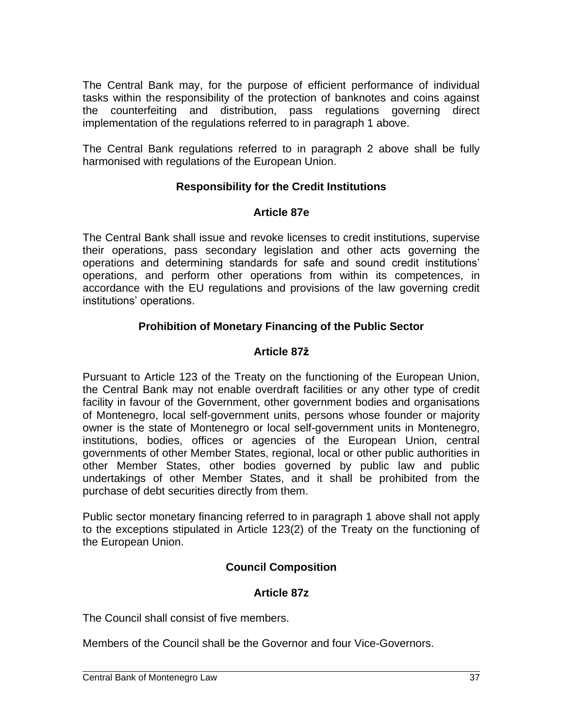The Central Bank may, for the purpose of efficient performance of individual tasks within the responsibility of the protection of banknotes and coins against the counterfeiting and distribution, pass regulations governing direct implementation of the regulations referred to in paragraph 1 above.

The Central Bank regulations referred to in paragraph 2 above shall be fully harmonised with regulations of the European Union.

## **Responsibility for the Credit Institutions**

#### **Article 87e**

The Central Bank shall issue and revoke licenses to credit institutions, supervise their operations, pass secondary legislation and other acts governing the operations and determining standards for safe and sound credit institutions' operations, and perform other operations from within its competences, in accordance with the EU regulations and provisions of the law governing credit institutions' operations.

## **Prohibition of Monetary Financing of the Public Sector**

## **Article 87ž**

Pursuant to Article 123 of the Treaty on the functioning of the European Union, the Central Bank may not enable overdraft facilities or any other type of credit facility in favour of the Government, other government bodies and organisations of Montenegro, local self-government units, persons whose founder or majority owner is the state of Montenegro or local self-government units in Montenegro, institutions, bodies, offices or agencies of the European Union, central governments of other Member States, regional, local or other public authorities in other Member States, other bodies governed by public law and public undertakings of other Member States, and it shall be prohibited from the purchase of debt securities directly from them.

Public sector monetary financing referred to in paragraph 1 above shall not apply to the exceptions stipulated in Article 123(2) of the Treaty on the functioning of the European Union.

## **Council Composition**

## **Article 87z**

The Council shall consist of five members.

Members of the Council shall be the Governor and four Vice-Governors.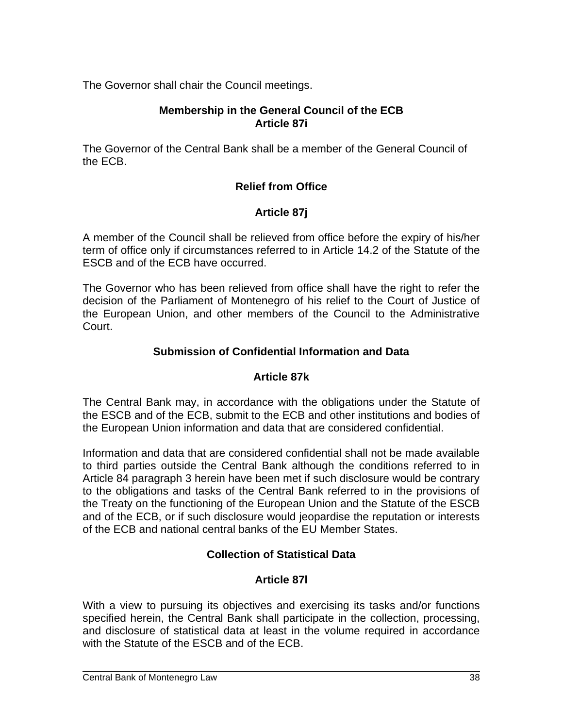The Governor shall chair the Council meetings.

### **Membership in the General Council of the ECB Article 87i**

The Governor of the Central Bank shall be a member of the General Council of the ECB.

## **Relief from Office**

## **Article 87j**

A member of the Council shall be relieved from office before the expiry of his/her term of office only if circumstances referred to in Article 14.2 of the Statute of the ESCB and of the ECB have occurred.

The Governor who has been relieved from office shall have the right to refer the decision of the Parliament of Montenegro of his relief to the Court of Justice of the European Union, and other members of the Council to the Administrative Court.

### **Submission of Confidential Information and Data**

#### **Article 87k**

The Central Bank may, in accordance with the obligations under the Statute of the ESCB and of the ECB, submit to the ECB and other institutions and bodies of the European Union information and data that are considered confidential.

Information and data that are considered confidential shall not be made available to third parties outside the Central Bank although the conditions referred to in Article 84 paragraph 3 herein have been met if such disclosure would be contrary to the obligations and tasks of the Central Bank referred to in the provisions of the Treaty on the functioning of the European Union and the Statute of the ESCB and of the ECB, or if such disclosure would jeopardise the reputation or interests of the ECB and national central banks of the EU Member States.

## **Collection of Statistical Data**

## **Article 87l**

With a view to pursuing its objectives and exercising its tasks and/or functions specified herein, the Central Bank shall participate in the collection, processing, and disclosure of statistical data at least in the volume required in accordance with the Statute of the ESCB and of the ECB.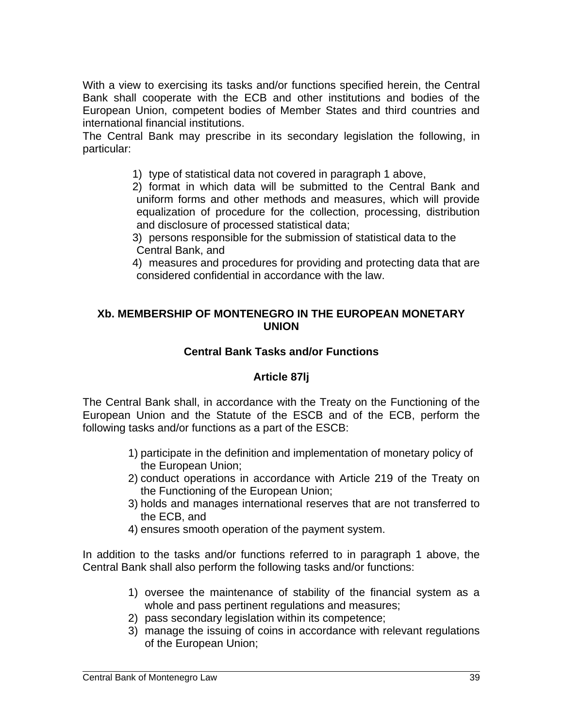With a view to exercising its tasks and/or functions specified herein, the Central Bank shall cooperate with the ECB and other institutions and bodies of the European Union, competent bodies of Member States and third countries and international financial institutions.

The Central Bank may prescribe in its secondary legislation the following, in particular:

- 1) type of statistical data not covered in paragraph 1 above,
- 2) format in which data will be submitted to the Central Bank and uniform forms and other methods and measures, which will provide equalization of procedure for the collection, processing, distribution and disclosure of processed statistical data;
- 3) persons responsible for the submission of statistical data to the Central Bank, and
- 4) measures and procedures for providing and protecting data that are considered confidential in accordance with the law.

### **Xb. MEMBERSHIP OF MONTENEGRO IN THE EUROPEAN MONETARY UNION**

## **Central Bank Tasks and/or Functions**

# **Article 87lj**

The Central Bank shall, in accordance with the Treaty on the Functioning of the European Union and the Statute of the ESCB and of the ECB, perform the following tasks and/or functions as a part of the ESCB:

- 1) participate in the definition and implementation of monetary policy of the European Union;
- 2) conduct operations in accordance with Article 219 of the Treaty on the Functioning of the European Union;
- 3) holds and manages international reserves that are not transferred to the ECB, and
- 4) ensures smooth operation of the payment system.

In addition to the tasks and/or functions referred to in paragraph 1 above, the Central Bank shall also perform the following tasks and/or functions:

- 1) oversee the maintenance of stability of the financial system as a whole and pass pertinent regulations and measures;
- 2) pass secondary legislation within its competence;
- 3) manage the issuing of coins in accordance with relevant regulations of the European Union;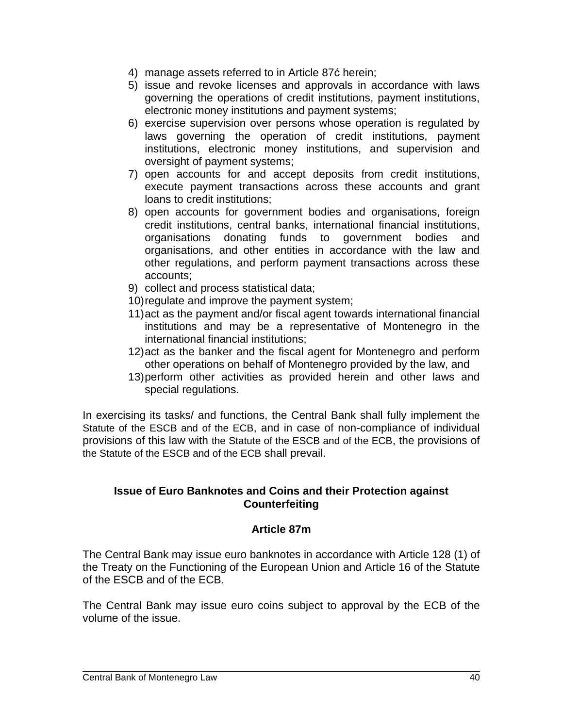- 4) manage assets referred to in Article 87ć herein;
- 5) issue and revoke licenses and approvals in accordance with laws governing the operations of credit institutions, payment institutions, electronic money institutions and payment systems;
- 6) exercise supervision over persons whose operation is regulated by laws governing the operation of credit institutions, payment institutions, electronic money institutions, and supervision and oversight of payment systems;
- 7) open accounts for and accept deposits from credit institutions, execute payment transactions across these accounts and grant loans to credit institutions;
- 8) open accounts for government bodies and organisations, foreign credit institutions, central banks, international financial institutions, organisations donating funds to government bodies and organisations, and other entities in accordance with the law and other regulations, and perform payment transactions across these accounts;
- 9) collect and process statistical data;
- 10)regulate and improve the payment system;
- 11)act as the payment and/or fiscal agent towards international financial institutions and may be a representative of Montenegro in the international financial institutions;
- 12)act as the banker and the fiscal agent for Montenegro and perform other operations on behalf of Montenegro provided by the law, and
- 13)perform other activities as provided herein and other laws and special regulations.

In exercising its tasks/ and functions, the Central Bank shall fully implement the Statute of the ESCB and of the ECB, and in case of non-compliance of individual provisions of this law with the Statute of the ESCB and of the ECB, the provisions of the Statute of the ESCB and of the ECB shall prevail.

#### **Issue of Euro Banknotes and Coins and their Protection against Counterfeiting**

#### **Article 87m**

The Central Bank may issue euro banknotes in accordance with Article 128 (1) of the Treaty on the Functioning of the European Union and Article 16 of the Statute of the ESCB and of the ECB.

The Central Bank may issue euro coins subject to approval by the ECB of the volume of the issue.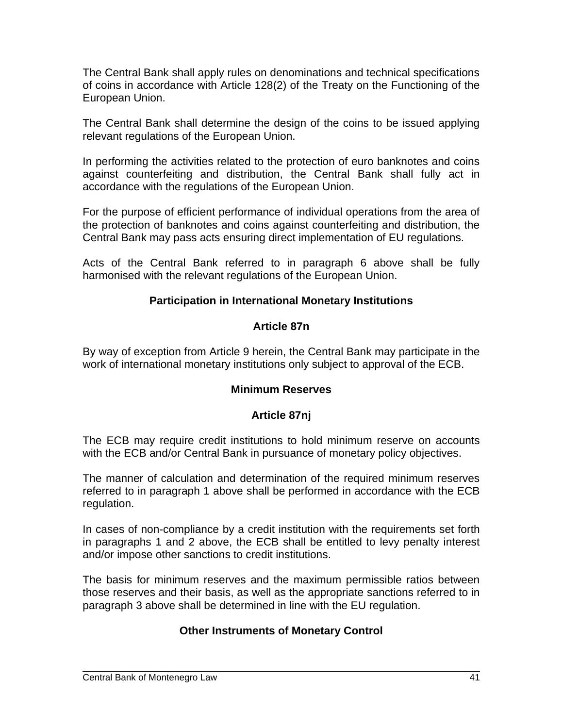The Central Bank shall apply rules on denominations and technical specifications of coins in accordance with Article 128(2) of the Treaty on the Functioning of the European Union.

The Central Bank shall determine the design of the coins to be issued applying relevant regulations of the European Union.

In performing the activities related to the protection of euro banknotes and coins against counterfeiting and distribution, the Central Bank shall fully act in accordance with the regulations of the European Union.

For the purpose of efficient performance of individual operations from the area of the protection of banknotes and coins against counterfeiting and distribution, the Central Bank may pass acts ensuring direct implementation of EU regulations.

Acts of the Central Bank referred to in paragraph 6 above shall be fully harmonised with the relevant regulations of the European Union.

### **Participation in International Monetary Institutions**

#### **Article 87n**

By way of exception from Article 9 herein, the Central Bank may participate in the work of international monetary institutions only subject to approval of the ECB.

#### **Minimum Reserves**

## **Article 87nj**

The ECB may require credit institutions to hold minimum reserve on accounts with the ECB and/or Central Bank in pursuance of monetary policy objectives.

The manner of calculation and determination of the required minimum reserves referred to in paragraph 1 above shall be performed in accordance with the ECB regulation.

In cases of non-compliance by a credit institution with the requirements set forth in paragraphs 1 and 2 above, the ECB shall be entitled to levy penalty interest and/or impose other sanctions to credit institutions.

The basis for minimum reserves and the maximum permissible ratios between those reserves and their basis, as well as the appropriate sanctions referred to in paragraph 3 above shall be determined in line with the EU regulation.

## **Other Instruments of Monetary Control**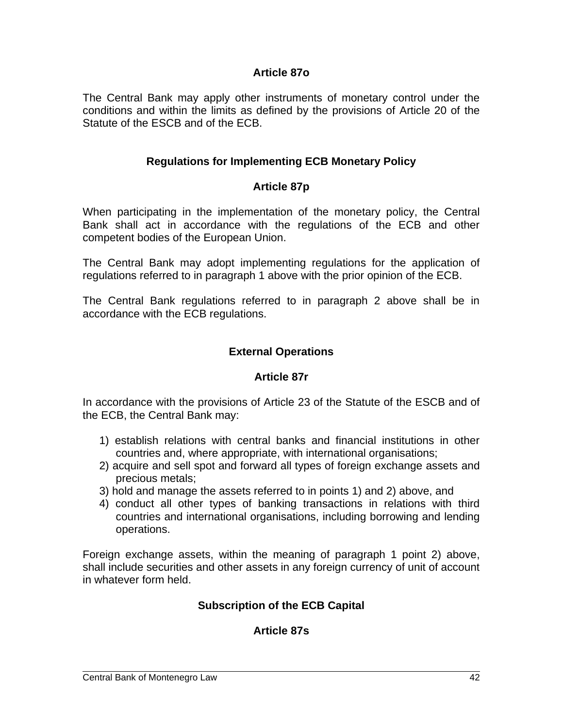#### **Article 87o**

The Central Bank may apply other instruments of monetary control under the conditions and within the limits as defined by the provisions of Article 20 of the Statute of the ESCB and of the ECB.

### **Regulations for Implementing ECB Monetary Policy**

### **Article 87p**

When participating in the implementation of the monetary policy, the Central Bank shall act in accordance with the regulations of the ECB and other competent bodies of the European Union.

The Central Bank may adopt implementing regulations for the application of regulations referred to in paragraph 1 above with the prior opinion of the ECB.

The Central Bank regulations referred to in paragraph 2 above shall be in accordance with the ECB regulations.

#### **External Operations**

#### **Article 87r**

In accordance with the provisions of Article 23 of the Statute of the ESCB and of the ECB, the Central Bank may:

- 1) establish relations with central banks and financial institutions in other countries and, where appropriate, with international organisations;
- 2) acquire and sell spot and forward all types of foreign exchange assets and precious metals;
- 3) hold and manage the assets referred to in points 1) and 2) above, and
- 4) conduct all other types of banking transactions in relations with third countries and international organisations, including borrowing and lending operations.

Foreign exchange assets, within the meaning of paragraph 1 point 2) above, shall include securities and other assets in any foreign currency of unit of account in whatever form held.

## **Subscription of the ECB Capital**

#### **Article 87s**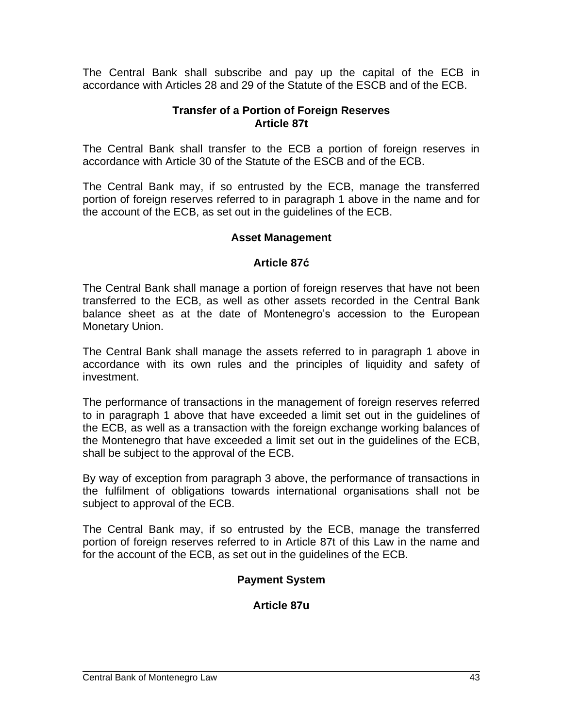The Central Bank shall subscribe and pay up the capital of the ECB in accordance with Articles 28 and 29 of the Statute of the ESCB and of the ECB.

### **Transfer of a Portion of Foreign Reserves Article 87t**

The Central Bank shall transfer to the ECB a portion of foreign reserves in accordance with Article 30 of the Statute of the ESCB and of the ECB.

The Central Bank may, if so entrusted by the ECB, manage the transferred portion of foreign reserves referred to in paragraph 1 above in the name and for the account of the ECB, as set out in the guidelines of the ECB.

### **Asset Management**

#### **Article 87ć**

The Central Bank shall manage a portion of foreign reserves that have not been transferred to the ECB, as well as other assets recorded in the Central Bank balance sheet as at the date of Montenegro's accession to the European Monetary Union.

The Central Bank shall manage the assets referred to in paragraph 1 above in accordance with its own rules and the principles of liquidity and safety of investment.

The performance of transactions in the management of foreign reserves referred to in paragraph 1 above that have exceeded a limit set out in the guidelines of the ECB, as well as a transaction with the foreign exchange working balances of the Montenegro that have exceeded a limit set out in the guidelines of the ECB, shall be subject to the approval of the ECB.

By way of exception from paragraph 3 above, the performance of transactions in the fulfilment of obligations towards international organisations shall not be subject to approval of the ECB.

The Central Bank may, if so entrusted by the ECB, manage the transferred portion of foreign reserves referred to in Article 87t of this Law in the name and for the account of the ECB, as set out in the guidelines of the ECB.

## **Payment System**

#### **Article 87u**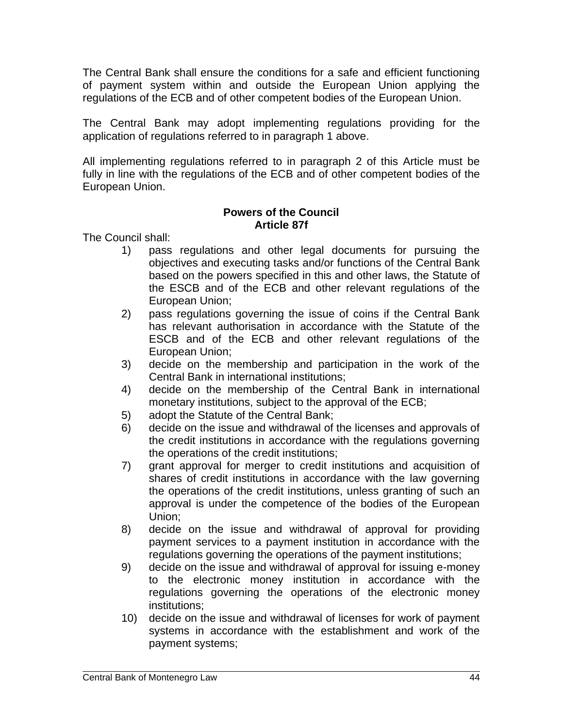The Central Bank shall ensure the conditions for a safe and efficient functioning of payment system within and outside the European Union applying the regulations of the ECB and of other competent bodies of the European Union.

The Central Bank may adopt implementing regulations providing for the application of regulations referred to in paragraph 1 above.

All implementing regulations referred to in paragraph 2 of this Article must be fully in line with the regulations of the ECB and of other competent bodies of the European Union.

#### **Powers of the Council Article 87f**

The Council shall:

- 1) pass regulations and other legal documents for pursuing the objectives and executing tasks and/or functions of the Central Bank based on the powers specified in this and other laws, the Statute of the ESCB and of the ECB and other relevant regulations of the European Union;
- 2) pass regulations governing the issue of coins if the Central Bank has relevant authorisation in accordance with the Statute of the ESCB and of the ECB and other relevant regulations of the European Union;
- 3) decide on the membership and participation in the work of the Central Bank in international institutions;
- 4) decide on the membership of the Central Bank in international monetary institutions, subject to the approval of the ECB;
- 5) adopt the Statute of the Central Bank;
- 6) decide on the issue and withdrawal of the licenses and approvals of the credit institutions in accordance with the regulations governing the operations of the credit institutions;
- 7) grant approval for merger to credit institutions and acquisition of shares of credit institutions in accordance with the law governing the operations of the credit institutions, unless granting of such an approval is under the competence of the bodies of the European Union;
- 8) decide on the issue and withdrawal of approval for providing payment services to a payment institution in accordance with the regulations governing the operations of the payment institutions;
- 9) decide on the issue and withdrawal of approval for issuing e-money to the electronic money institution in accordance with the regulations governing the operations of the electronic money institutions;
- 10) decide on the issue and withdrawal of licenses for work of payment systems in accordance with the establishment and work of the payment systems;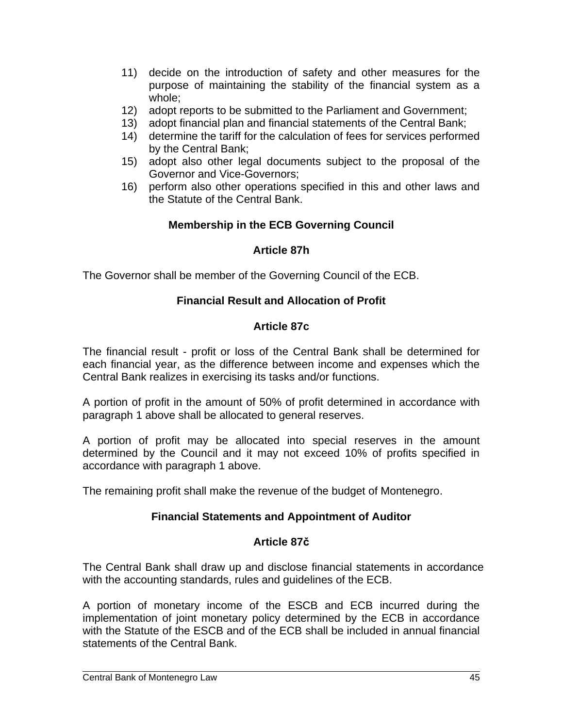- 11) decide on the introduction of safety and other measures for the purpose of maintaining the stability of the financial system as a whole;
- 12) adopt reports to be submitted to the Parliament and Government;
- 13) adopt financial plan and financial statements of the Central Bank;
- 14) determine the tariff for the calculation of fees for services performed by the Central Bank;
- 15) adopt also other legal documents subject to the proposal of the Governor and Vice-Governors;
- 16) perform also other operations specified in this and other laws and the Statute of the Central Bank.

## **Membership in the ECB Governing Council**

### **Article 87h**

The Governor shall be member of the Governing Council of the ECB.

### **Financial Result and Allocation of Profit**

### **Article 87c**

The financial result - profit or loss of the Central Bank shall be determined for each financial year, as the difference between income and expenses which the Central Bank realizes in exercising its tasks and/or functions.

A portion of profit in the amount of 50% of profit determined in accordance with paragraph 1 above shall be allocated to general reserves.

A portion of profit may be allocated into special reserves in the amount determined by the Council and it may not exceed 10% of profits specified in accordance with paragraph 1 above.

The remaining profit shall make the revenue of the budget of Montenegro.

## **Financial Statements and Appointment of Auditor**

#### **Article 87č**

The Central Bank shall draw up and disclose financial statements in accordance with the accounting standards, rules and guidelines of the ECB.

A portion of monetary income of the ESCB and ECB incurred during the implementation of joint monetary policy determined by the ECB in accordance with the Statute of the ESCB and of the ECB shall be included in annual financial statements of the Central Bank.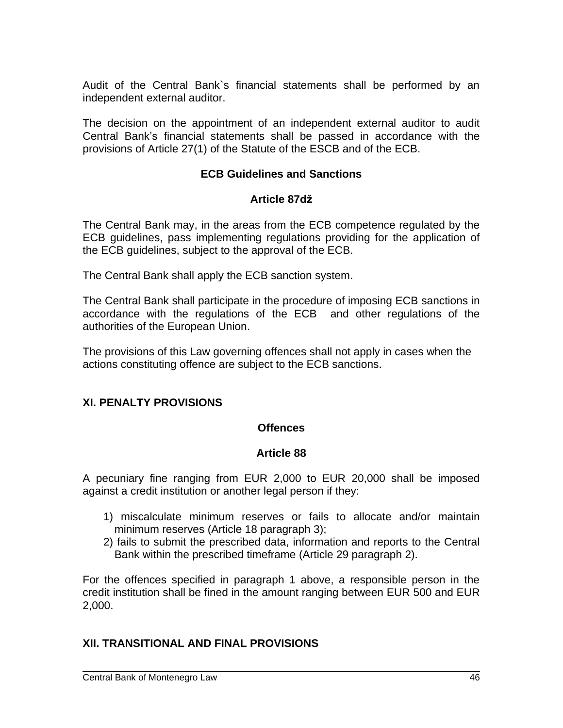Audit of the Central Bank`s financial statements shall be performed by an independent external auditor.

The decision on the appointment of an independent external auditor to audit Central Bank's financial statements shall be passed in accordance with the provisions of Article 27(1) of the Statute of the ESCB and of the ECB.

### **ECB Guidelines and Sanctions**

#### **Article 87dž**

The Central Bank may, in the areas from the ECB competence regulated by the ECB guidelines, pass implementing regulations providing for the application of the ECB guidelines, subject to the approval of the ECB.

The Central Bank shall apply the ECB sanction system.

The Central Bank shall participate in the procedure of imposing ECB sanctions in accordance with the regulations of the ECB and other regulations of the authorities of the European Union.

The provisions of this Law governing offences shall not apply in cases when the actions constituting offence are subject to the ECB sanctions.

#### **XI. PENALTY PROVISIONS**

#### **Offences**

#### **Article 88**

A pecuniary fine ranging from EUR 2,000 to EUR 20,000 shall be imposed against a credit institution or another legal person if they:

- 1) miscalculate minimum reserves or fails to allocate and/or maintain minimum reserves (Article 18 paragraph 3);
- 2) fails to submit the prescribed data, information and reports to the Central Bank within the prescribed timeframe (Article 29 paragraph 2).

For the offences specified in paragraph 1 above, a responsible person in the credit institution shall be fined in the amount ranging between EUR 500 and EUR 2,000.

#### **XII. TRANSITIONAL AND FINAL PROVISIONS**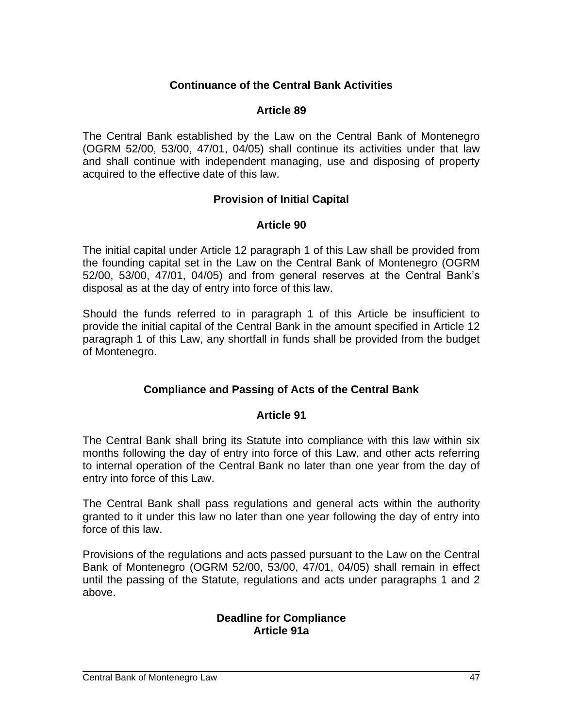### **Continuance of the Central Bank Activities**

#### **Article 89**

The Central Bank established by the Law on the Central Bank of Montenegro (OGRM 52/00, 53/00, 47/01, 04/05) shall continue its activities under that law and shall continue with independent managing, use and disposing of property acquired to the effective date of this law.

#### **Provision of Initial Capital**

#### **Article 90**

The initial capital under Article 12 paragraph 1 of this Law shall be provided from the founding capital set in the Law on the Central Bank of Montenegro (OGRM 52/00, 53/00, 47/01, 04/05) and from general reserves at the Central Bank's disposal as at the day of entry into force of this law.

Should the funds referred to in paragraph 1 of this Article be insufficient to provide the initial capital of the Central Bank in the amount specified in Article 12 paragraph 1 of this Law, any shortfall in funds shall be provided from the budget of Montenegro.

#### **Compliance and Passing of Acts of the Central Bank**

#### **Article 91**

The Central Bank shall bring its Statute into compliance with this law within six months following the day of entry into force of this Law, and other acts referring to internal operation of the Central Bank no later than one year from the day of entry into force of this Law.

The Central Bank shall pass regulations and general acts within the authority granted to it under this law no later than one year following the day of entry into force of this law.

Provisions of the regulations and acts passed pursuant to the Law on the Central Bank of Montenegro (OGRM 52/00, 53/00, 47/01, 04/05) shall remain in effect until the passing of the Statute, regulations and acts under paragraphs 1 and 2 above.

#### **Deadline for Compliance Article 91a**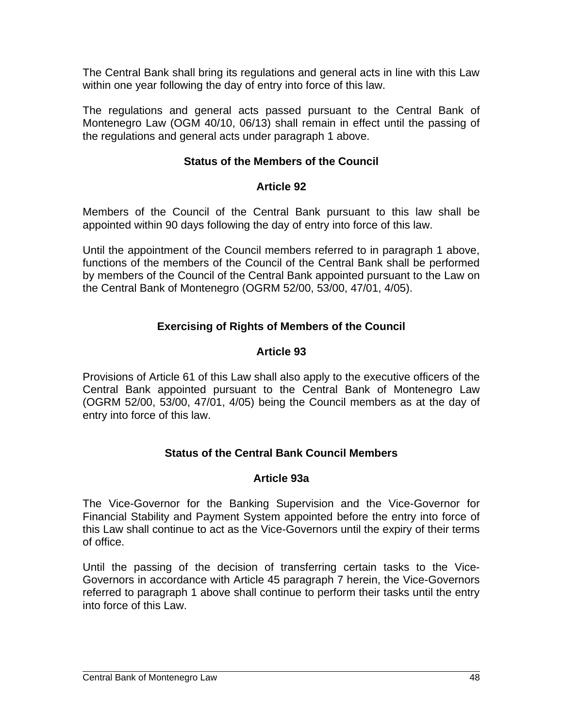The Central Bank shall bring its regulations and general acts in line with this Law within one year following the day of entry into force of this law.

The regulations and general acts passed pursuant to the Central Bank of Montenegro Law (OGM 40/10, 06/13) shall remain in effect until the passing of the regulations and general acts under paragraph 1 above.

## **Status of the Members of the Council**

# **Article 92**

Members of the Council of the Central Bank pursuant to this law shall be appointed within 90 days following the day of entry into force of this law.

Until the appointment of the Council members referred to in paragraph 1 above, functions of the members of the Council of the Central Bank shall be performed by members of the Council of the Central Bank appointed pursuant to the Law on the Central Bank of Montenegro (OGRM 52/00, 53/00, 47/01, 4/05).

# **Exercising of Rights of Members of the Council**

# **Article 93**

Provisions of Article 61 of this Law shall also apply to the executive officers of the Central Bank appointed pursuant to the Central Bank of Montenegro Law (OGRM 52/00, 53/00, 47/01, 4/05) being the Council members as at the day of entry into force of this law.

# **Status of the Central Bank Council Members**

## **Article 93a**

The Vice-Governor for the Banking Supervision and the Vice-Governor for Financial Stability and Payment System appointed before the entry into force of this Law shall continue to act as the Vice-Governors until the expiry of their terms of office.

Until the passing of the decision of transferring certain tasks to the Vice-Governors in accordance with Article 45 paragraph 7 herein, the Vice-Governors referred to paragraph 1 above shall continue to perform their tasks until the entry into force of this Law.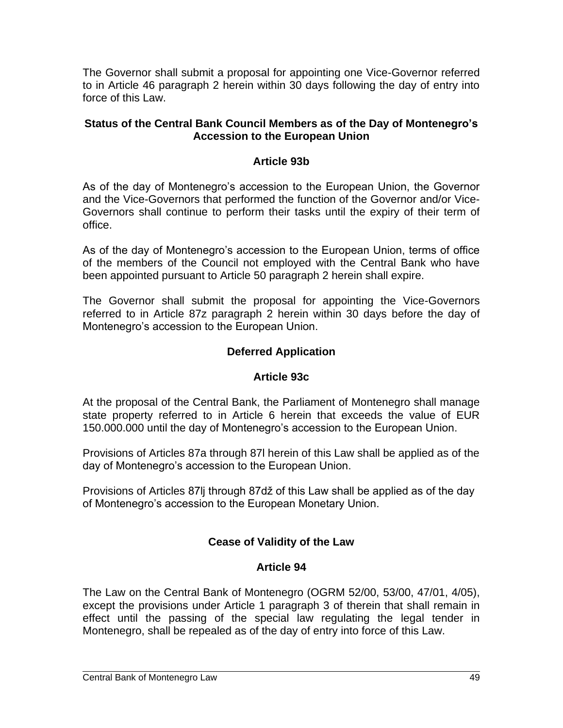The Governor shall submit a proposal for appointing one Vice-Governor referred to in Article 46 paragraph 2 herein within 30 days following the day of entry into force of this Law.

#### **Status of the Central Bank Council Members as of the Day of Montenegro's Accession to the European Union**

### **Article 93b**

As of the day of Montenegro's accession to the European Union, the Governor and the Vice-Governors that performed the function of the Governor and/or Vice-Governors shall continue to perform their tasks until the expiry of their term of office.

As of the day of Montenegro's accession to the European Union, terms of office of the members of the Council not employed with the Central Bank who have been appointed pursuant to Article 50 paragraph 2 herein shall expire.

The Governor shall submit the proposal for appointing the Vice-Governors referred to in Article 87z paragraph 2 herein within 30 days before the day of Montenegro's accession to the European Union.

## **Deferred Application**

## **Article 93c**

At the proposal of the Central Bank, the Parliament of Montenegro shall manage state property referred to in Article 6 herein that exceeds the value of EUR 150.000.000 until the day of Montenegro's accession to the European Union.

Provisions of Articles 87a through 87l herein of this Law shall be applied as of the day of Montenegro's accession to the European Union.

Provisions of Articles 87lj through 87dž of this Law shall be applied as of the day of Montenegro's accession to the European Monetary Union.

# **Cease of Validity of the Law**

## **Article 94**

The Law on the Central Bank of Montenegro (OGRM 52/00, 53/00, 47/01, 4/05), except the provisions under Article 1 paragraph 3 of therein that shall remain in effect until the passing of the special law regulating the legal tender in Montenegro, shall be repealed as of the day of entry into force of this Law.